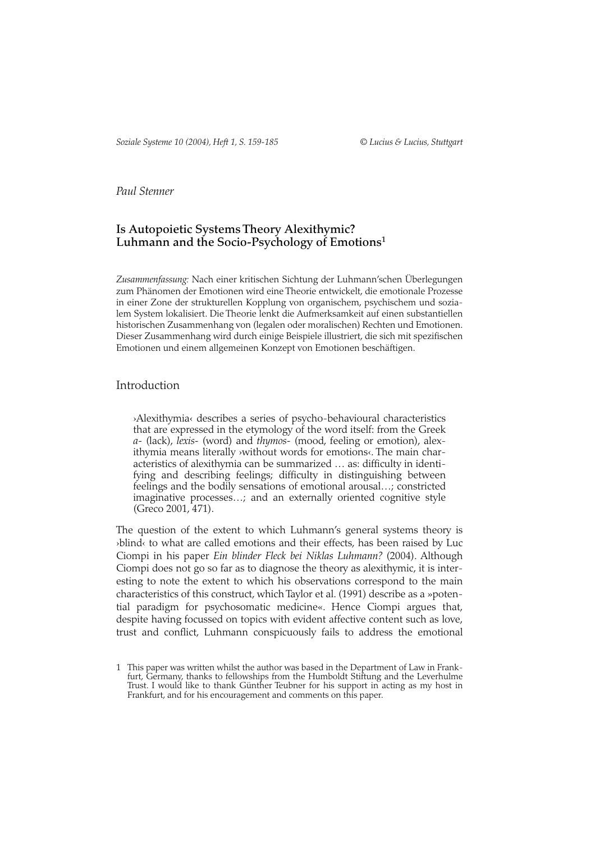# *Paul Stenner*

# **Is Autopoietic Systems Theory Alexithymic? Luhmann and the Socio-Psychology of Emotions1**

*Zusammenfassung:* Nach einer kritischen Sichtung der Luhmann'schen Überlegungen zum Phänomen der Emotionen wird eine Theorie entwickelt, die emotionale Prozesse in einer Zone der strukturellen Kopplung von organischem, psychischem und sozialem System lokalisiert. Die Theorie lenkt die Aufmerksamkeit auf einen substantiellen historischen Zusammenhang von (legalen oder moralischen) Rechten und Emotionen. Dieser Zusammenhang wird durch einige Beispiele illustriert, die sich mit spezifischen Emotionen und einem allgemeinen Konzept von Emotionen beschäftigen.

# Introduction

›Alexithymia‹ describes a series of psycho-behavioural characteristics that are expressed in the etymology of the word itself: from the Greek *a-* (lack), *lexis-* (word) and *thymos-* (mood, feeling or emotion), alexithymia means literally *without words for emotions*. The main characteristics of alexithymia can be summarized … as: difficulty in identifying and describing feelings; difficulty in distinguishing between feelings and the bodily sensations of emotional arousal…; constricted imaginative processes…; and an externally oriented cognitive style (Greco 2001, 471).

The question of the extent to which Luhmann's general systems theory is ›blind‹ to what are called emotions and their effects, has been raised by Luc Ciompi in his paper *Ein blinder Fleck bei Niklas Luhmann?* (2004). Although Ciompi does not go so far as to diagnose the theory as alexithymic, it is interesting to note the extent to which his observations correspond to the main characteristics of this construct, which Taylor et al. (1991) describe as a »potential paradigm for psychosomatic medicine«. Hence Ciompi argues that, despite having focussed on topics with evident affective content such as love, trust and conflict, Luhmann conspicuously fails to address the emotional

<sup>1</sup> This paper was written whilst the author was based in the Department of Law in Frankfurt, Germany, thanks to fellowships from the Humboldt Stiftung and the Leverhulme Trust. I would like to thank Günther Teubner for his support in acting as my host in Frankfurt, and for his encouragement and comments on this paper.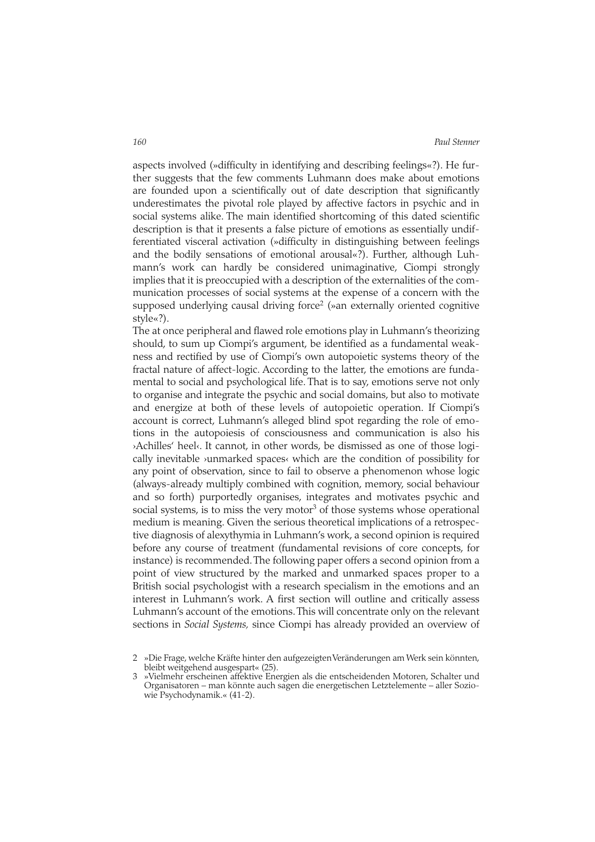aspects involved (»difficulty in identifying and describing feelings«?). He further suggests that the few comments Luhmann does make about emotions are founded upon a scientifically out of date description that significantly underestimates the pivotal role played by affective factors in psychic and in social systems alike. The main identified shortcoming of this dated scientific description is that it presents a false picture of emotions as essentially undifferentiated visceral activation (»difficulty in distinguishing between feelings and the bodily sensations of emotional arousal«?). Further, although Luhmann's work can hardly be considered unimaginative, Ciompi strongly implies that it is preoccupied with a description of the externalities of the communication processes of social systems at the expense of a concern with the supposed underlying causal driving force<sup>2</sup> (»an externally oriented cognitive style«?).

The at once peripheral and flawed role emotions play in Luhmann's theorizing should, to sum up Ciompi's argument, be identified as a fundamental weakness and rectified by use of Ciompi's own autopoietic systems theory of the fractal nature of affect-logic. According to the latter, the emotions are fundamental to social and psychological life. That is to say, emotions serve not only to organise and integrate the psychic and social domains, but also to motivate and energize at both of these levels of autopoietic operation. If Ciompi's account is correct, Luhmann's alleged blind spot regarding the role of emotions in the autopoiesis of consciousness and communication is also his ›Achilles' heel‹. It cannot, in other words, be dismissed as one of those logically inevitable ›unmarked spaces‹ which are the condition of possibility for any point of observation, since to fail to observe a phenomenon whose logic (always-already multiply combined with cognition, memory, social behaviour and so forth) purportedly organises, integrates and motivates psychic and social systems, is to miss the very motor<sup>3</sup> of those systems whose operational medium is meaning. Given the serious theoretical implications of a retrospective diagnosis of alexythymia in Luhmann's work, a second opinion is required before any course of treatment (fundamental revisions of core concepts, for instance) is recommended.The following paper offers a second opinion from a point of view structured by the marked and unmarked spaces proper to a British social psychologist with a research specialism in the emotions and an interest in Luhmann's work. A first section will outline and critically assess Luhmann's account of the emotions.This will concentrate only on the relevant sections in *Social Systems,* since Ciompi has already provided an overview of

<sup>2 »</sup>Die Frage, welche Kräfte hinter den aufgezeigten Veränderungen am Werk sein könnten, bleibt weitgehend ausgespart« (25).

<sup>3 »</sup>Vielmehr erscheinen affektive Energien als die entscheidenden Motoren, Schalter und Organisatoren – man könnte auch sagen die energetischen Letztelemente – aller Soziowie Psychodynamik.« (41-2).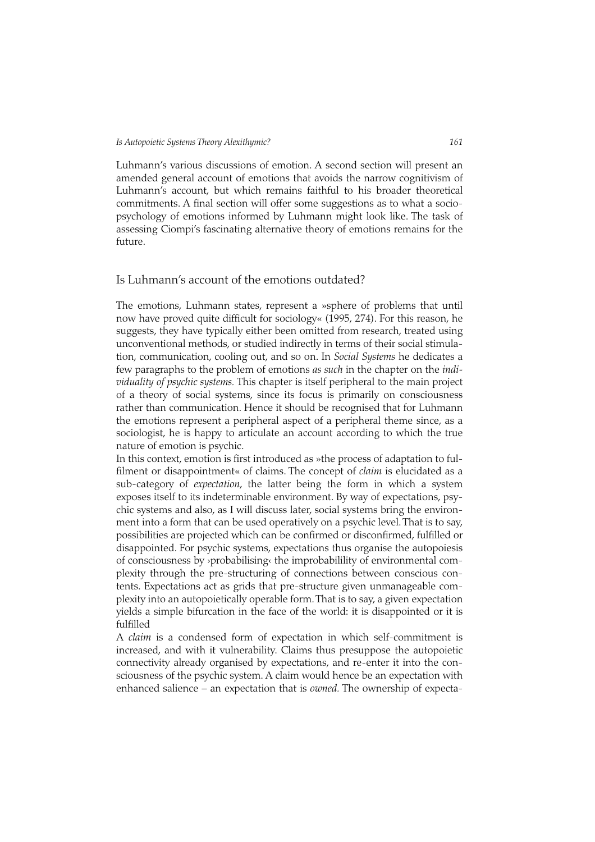Luhmann's various discussions of emotion. A second section will present an amended general account of emotions that avoids the narrow cognitivism of Luhmann's account, but which remains faithful to his broader theoretical commitments. A final section will offer some suggestions as to what a sociopsychology of emotions informed by Luhmann might look like. The task of assessing Ciompi's fascinating alternative theory of emotions remains for the future.

# Is Luhmann's account of the emotions outdated?

The emotions, Luhmann states, represent a »sphere of problems that until now have proved quite difficult for sociology« (1995, 274). For this reason, he suggests, they have typically either been omitted from research, treated using unconventional methods, or studied indirectly in terms of their social stimulation, communication, cooling out, and so on. In *Social Systems* he dedicates a few paragraphs to the problem of emotions *as such* in the chapter on the *individuality of psychic systems.* This chapter is itself peripheral to the main project of a theory of social systems, since its focus is primarily on consciousness rather than communication. Hence it should be recognised that for Luhmann the emotions represent a peripheral aspect of a peripheral theme since, as a sociologist, he is happy to articulate an account according to which the true nature of emotion is psychic.

In this context, emotion is first introduced as »the process of adaptation to fulfilment or disappointment« of claims. The concept of *claim* is elucidated as a sub-category of *expectation*, the latter being the form in which a system exposes itself to its indeterminable environment. By way of expectations, psychic systems and also, as I will discuss later, social systems bring the environment into a form that can be used operatively on a psychic level. That is to say, possibilities are projected which can be confirmed or disconfirmed, fulfilled or disappointed. For psychic systems, expectations thus organise the autopoiesis of consciousness by ›probabilising‹ the improbabilility of environmental complexity through the pre-structuring of connections between conscious contents. Expectations act as grids that pre-structure given unmanageable complexity into an autopoietically operable form.That is to say, a given expectation yields a simple bifurcation in the face of the world: it is disappointed or it is fulfilled

A *claim* is a condensed form of expectation in which self-commitment is increased, and with it vulnerability. Claims thus presuppose the autopoietic connectivity already organised by expectations, and re-enter it into the consciousness of the psychic system. A claim would hence be an expectation with enhanced salience – an expectation that is *owned.* The ownership of expecta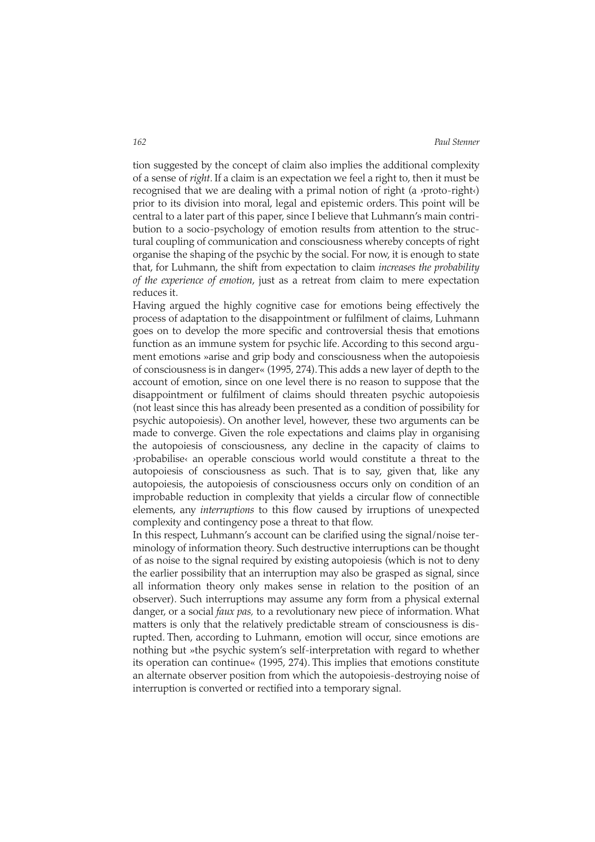tion suggested by the concept of claim also implies the additional complexity of a sense of *right*. If a claim is an expectation we feel a right to, then it must be recognised that we are dealing with a primal notion of right (a ›proto-right‹) prior to its division into moral, legal and epistemic orders. This point will be central to a later part of this paper, since I believe that Luhmann's main contribution to a socio-psychology of emotion results from attention to the structural coupling of communication and consciousness whereby concepts of right organise the shaping of the psychic by the social. For now, it is enough to state that, for Luhmann, the shift from expectation to claim *increases the probability of the experience of emotion*, just as a retreat from claim to mere expectation reduces it.

Having argued the highly cognitive case for emotions being effectively the process of adaptation to the disappointment or fulfilment of claims, Luhmann goes on to develop the more specific and controversial thesis that emotions function as an immune system for psychic life. According to this second argument emotions »arise and grip body and consciousness when the autopoiesis of consciousness is in danger« (1995, 274).This adds a new layer of depth to the account of emotion, since on one level there is no reason to suppose that the disappointment or fulfilment of claims should threaten psychic autopoiesis (not least since this has already been presented as a condition of possibility for psychic autopoiesis). On another level, however, these two arguments can be made to converge. Given the role expectations and claims play in organising the autopoiesis of consciousness, any decline in the capacity of claims to ›probabilise‹ an operable conscious world would constitute a threat to the autopoiesis of consciousness as such. That is to say, given that, like any autopoiesis, the autopoiesis of consciousness occurs only on condition of an improbable reduction in complexity that yields a circular flow of connectible elements, any *interruptions* to this flow caused by irruptions of unexpected complexity and contingency pose a threat to that flow.

In this respect, Luhmann's account can be clarified using the signal/noise terminology of information theory. Such destructive interruptions can be thought of as noise to the signal required by existing autopoiesis (which is not to deny the earlier possibility that an interruption may also be grasped as signal, since all information theory only makes sense in relation to the position of an observer). Such interruptions may assume any form from a physical external danger, or a social *faux pas,* to a revolutionary new piece of information. What matters is only that the relatively predictable stream of consciousness is disrupted. Then, according to Luhmann, emotion will occur, since emotions are nothing but »the psychic system's self-interpretation with regard to whether its operation can continue« (1995, 274). This implies that emotions constitute an alternate observer position from which the autopoiesis-destroying noise of interruption is converted or rectified into a temporary signal.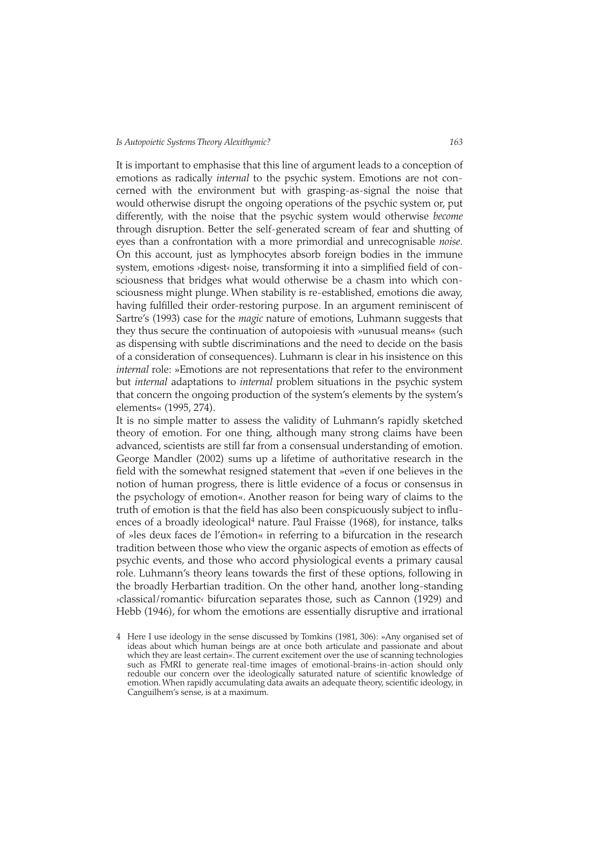It is important to emphasise that this line of argument leads to a conception of emotions as radically *internal* to the psychic system. Emotions are not concerned with the environment but with grasping-as-signal the noise that would otherwise disrupt the ongoing operations of the psychic system or, put differently, with the noise that the psychic system would otherwise *become* through disruption. Better the self-generated scream of fear and shutting of eyes than a confrontation with a more primordial and unrecognisable *noise*. On this account, just as lymphocytes absorb foreign bodies in the immune system, emotions >digest< noise, transforming it into a simplified field of consciousness that bridges what would otherwise be a chasm into which consciousness might plunge. When stability is re-established, emotions die away, having fulfilled their order-restoring purpose. In an argument reminiscent of Sartre's (1993) case for the *magic* nature of emotions, Luhmann suggests that they thus secure the continuation of autopoiesis with »unusual means« (such as dispensing with subtle discriminations and the need to decide on the basis of a consideration of consequences). Luhmann is clear in his insistence on this *internal* role: »Emotions are not representations that refer to the environment but *internal* adaptations to *internal* problem situations in the psychic system that concern the ongoing production of the system's elements by the system's elements« (1995, 274).

It is no simple matter to assess the validity of Luhmann's rapidly sketched theory of emotion. For one thing, although many strong claims have been advanced, scientists are still far from a consensual understanding of emotion. George Mandler (2002) sums up a lifetime of authoritative research in the field with the somewhat resigned statement that »even if one believes in the notion of human progress, there is little evidence of a focus or consensus in the psychology of emotion«. Another reason for being wary of claims to the truth of emotion is that the field has also been conspicuously subject to influences of a broadly ideological<sup>4</sup> nature. Paul Fraisse (1968), for instance, talks of »les deux faces de l'émotion« in referring to a bifurcation in the research tradition between those who view the organic aspects of emotion as effects of psychic events, and those who accord physiological events a primary causal role. Luhmann's theory leans towards the first of these options, following in the broadly Herbartian tradition. On the other hand, another long-standing ›classical/romantic‹ bifurcation separates those, such as Cannon (1929) and Hebb (1946), for whom the emotions are essentially disruptive and irrational

<sup>4</sup> Here I use ideology in the sense discussed by Tomkins (1981, 306): »Any organised set of ideas about which human beings are at once both articulate and passionate and about which they are least certain«. The current excitement over the use of scanning technologies such as FMRI to generate real-time images of emotional-brains-in-action should only redouble our concern over the ideologically saturated nature of scientific knowledge of emotion. When rapidly accumulating data awaits an adequate theory, scientific ideology, in Canguilhem's sense, is at a maximum.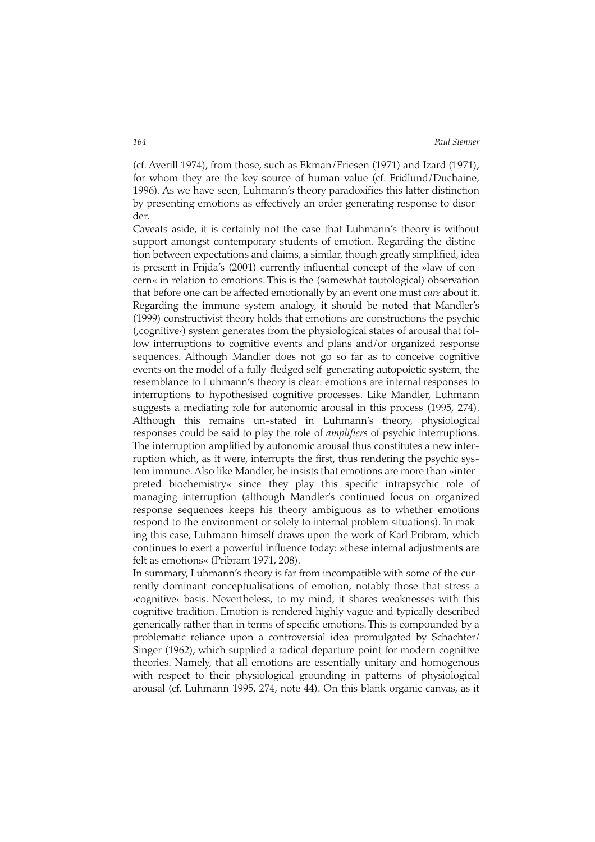(cf. Averill 1974), from those, such as Ekman/Friesen (1971) and Izard (1971), for whom they are the key source of human value (cf. Fridlund/Duchaine, 1996). As we have seen, Luhmann's theory paradoxifies this latter distinction by presenting emotions as effectively an order generating response to disorder.

Caveats aside, it is certainly not the case that Luhmann's theory is without support amongst contemporary students of emotion. Regarding the distinction between expectations and claims, a similar, though greatly simplified, idea is present in Frijda's (2001) currently influential concept of the »law of concern« in relation to emotions. This is the (somewhat tautological) observation that before one can be affected emotionally by an event one must *care* about it. Regarding the immune-system analogy, it should be noted that Mandler's (1999) constructivist theory holds that emotions are constructions the psychic (,cognitive‹) system generates from the physiological states of arousal that follow interruptions to cognitive events and plans and/or organized response sequences. Although Mandler does not go so far as to conceive cognitive events on the model of a fully-fledged self-generating autopoietic system, the resemblance to Luhmann's theory is clear: emotions are internal responses to interruptions to hypothesised cognitive processes. Like Mandler, Luhmann suggests a mediating role for autonomic arousal in this process (1995, 274). Although this remains un-stated in Luhmann's theory, physiological responses could be said to play the role of *amplifiers* of psychic interruptions. The interruption amplified by autonomic arousal thus constitutes a new interruption which, as it were, interrupts the first, thus rendering the psychic system immune. Also like Mandler, he insists that emotions are more than »interpreted biochemistry« since they play this specific intrapsychic role of managing interruption (although Mandler's continued focus on organized response sequences keeps his theory ambiguous as to whether emotions respond to the environment or solely to internal problem situations). In making this case, Luhmann himself draws upon the work of Karl Pribram, which continues to exert a powerful influence today: »these internal adjustments are felt as emotions« (Pribram 1971, 208).

In summary, Luhmann's theory is far from incompatible with some of the currently dominant conceptualisations of emotion, notably those that stress a ›cognitive‹ basis. Nevertheless, to my mind, it shares weaknesses with this cognitive tradition. Emotion is rendered highly vague and typically described generically rather than in terms of specific emotions. This is compounded by a problematic reliance upon a controversial idea promulgated by Schachter/ Singer (1962), which supplied a radical departure point for modern cognitive theories. Namely, that all emotions are essentially unitary and homogenous with respect to their physiological grounding in patterns of physiological arousal (cf. Luhmann 1995, 274, note 44). On this blank organic canvas, as it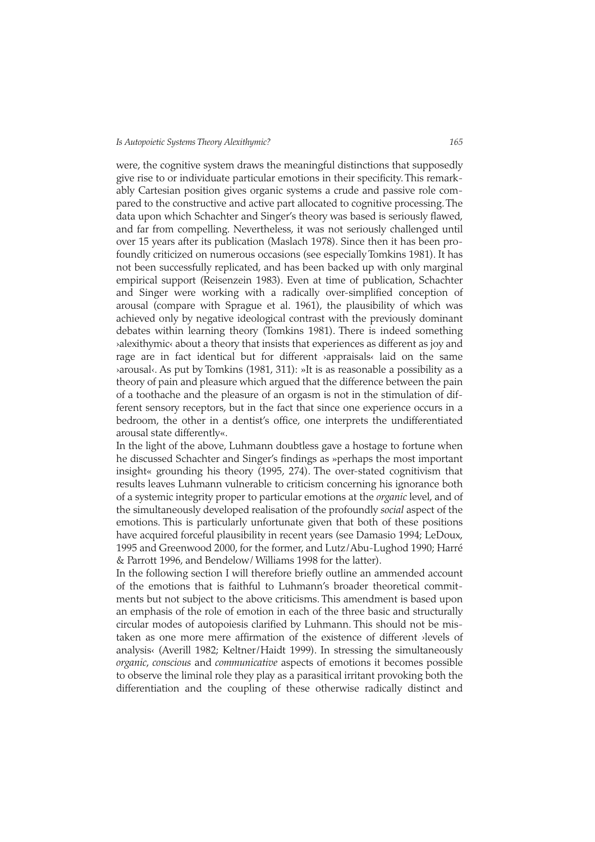were, the cognitive system draws the meaningful distinctions that supposedly give rise to or individuate particular emotions in their specificity. This remarkably Cartesian position gives organic systems a crude and passive role compared to the constructive and active part allocated to cognitive processing. The data upon which Schachter and Singer's theory was based is seriously flawed, and far from compelling. Nevertheless, it was not seriously challenged until over 15 years after its publication (Maslach 1978). Since then it has been profoundly criticized on numerous occasions (see especially Tomkins 1981). It has not been successfully replicated, and has been backed up with only marginal empirical support (Reisenzein 1983). Even at time of publication, Schachter and Singer were working with a radically over-simplified conception of arousal (compare with Sprague et al. 1961), the plausibility of which was achieved only by negative ideological contrast with the previously dominant debates within learning theory (Tomkins 1981). There is indeed something ›alexithymic‹ about a theory that insists that experiences as different as joy and rage are in fact identical but for different ›appraisals‹ laid on the same ›arousal‹. As put by Tomkins (1981, 311): »It is as reasonable a possibility as a theory of pain and pleasure which argued that the difference between the pain of a toothache and the pleasure of an orgasm is not in the stimulation of different sensory receptors, but in the fact that since one experience occurs in a bedroom, the other in a dentist's office, one interprets the undifferentiated arousal state differently«.

In the light of the above, Luhmann doubtless gave a hostage to fortune when he discussed Schachter and Singer's findings as »perhaps the most important insight« grounding his theory (1995, 274). The over-stated cognitivism that results leaves Luhmann vulnerable to criticism concerning his ignorance both of a systemic integrity proper to particular emotions at the *organic* level, and of the simultaneously developed realisation of the profoundly *social* aspect of the emotions. This is particularly unfortunate given that both of these positions have acquired forceful plausibility in recent years (see Damasio 1994; LeDoux, 1995 and Greenwood 2000, for the former, and Lutz/Abu-Lughod 1990; Harré & Parrott 1996, and Bendelow/ Williams 1998 for the latter).

In the following section I will therefore briefly outline an ammended account of the emotions that is faithful to Luhmann's broader theoretical commitments but not subject to the above criticisms. This amendment is based upon an emphasis of the role of emotion in each of the three basic and structurally circular modes of autopoiesis clarified by Luhmann. This should not be mistaken as one more mere affirmation of the existence of different ›levels of analysis‹ (Averill 1982; Keltner/Haidt 1999). In stressing the simultaneously *organic*, *conscious* and *communicative* aspects of emotions it becomes possible to observe the liminal role they play as a parasitical irritant provoking both the differentiation and the coupling of these otherwise radically distinct and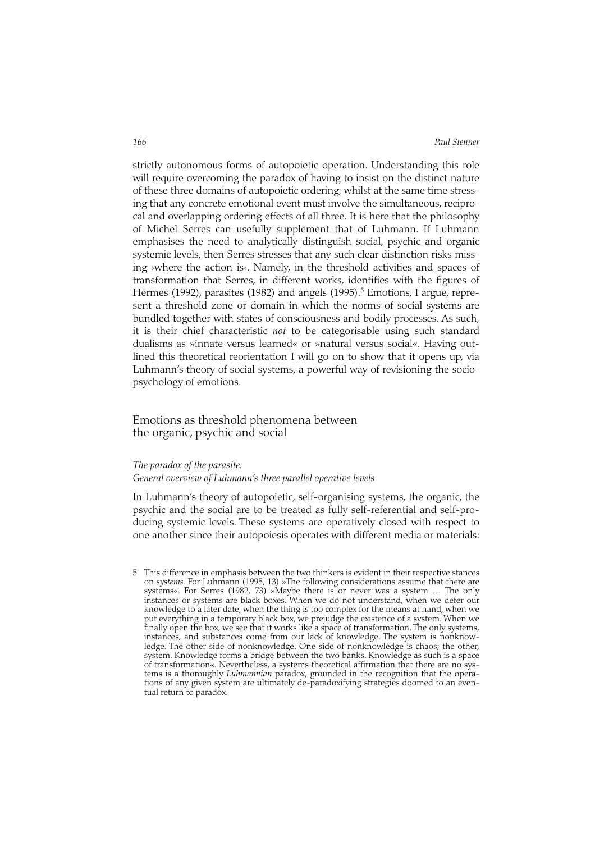strictly autonomous forms of autopoietic operation. Understanding this role will require overcoming the paradox of having to insist on the distinct nature of these three domains of autopoietic ordering, whilst at the same time stressing that any concrete emotional event must involve the simultaneous, reciprocal and overlapping ordering effects of all three. It is here that the philosophy of Michel Serres can usefully supplement that of Luhmann. If Luhmann emphasises the need to analytically distinguish social, psychic and organic systemic levels, then Serres stresses that any such clear distinction risks missing ›where the action is‹. Namely, in the threshold activities and spaces of transformation that Serres, in different works, identifies with the figures of Hermes (1992), parasites (1982) and angels (1995).<sup>5</sup> Emotions, I argue, represent a threshold zone or domain in which the norms of social systems are bundled together with states of consciousness and bodily processes. As such, it is their chief characteristic *not* to be categorisable using such standard dualisms as »innate versus learned« or »natural versus social«. Having outlined this theoretical reorientation I will go on to show that it opens up, via Luhmann's theory of social systems, a powerful way of revisioning the sociopsychology of emotions.

# Emotions as threshold phenomena between the organic, psychic and social

### *The paradox of the parasite:*

# *General overview of Luhmann's three parallel operative levels*

In Luhmann's theory of autopoietic, self-organising systems, the organic, the psychic and the social are to be treated as fully self-referential and self-producing systemic levels. These systems are operatively closed with respect to one another since their autopoiesis operates with different media or materials:

5 This difference in emphasis between the two thinkers is evident in their respective stances on *systems.* For Luhmann (1995, 13) »The following considerations assume that there are systems«. For Serres (1982, 73) »Maybe there is or never was a system … The only instances or systems are black boxes. When we do not understand, when we defer our knowledge to a later date, when the thing is too complex for the means at hand, when we put everything in a temporary black box, we prejudge the existence of a system. When we finally open the box, we see that it works like a space of transformation. The only systems, instances, and substances come from our lack of knowledge. The system is nonknowledge. The other side of nonknowledge. One side of nonknowledge is chaos; the other, system. Knowledge forms a bridge between the two banks. Knowledge as such is a space of transformation«. Nevertheless, a systems theoretical affirmation that there are no systems is a thoroughly *Luhmannian* paradox, grounded in the recognition that the operations of any given system are ultimately de-paradoxifying strategies doomed to an eventual return to paradox.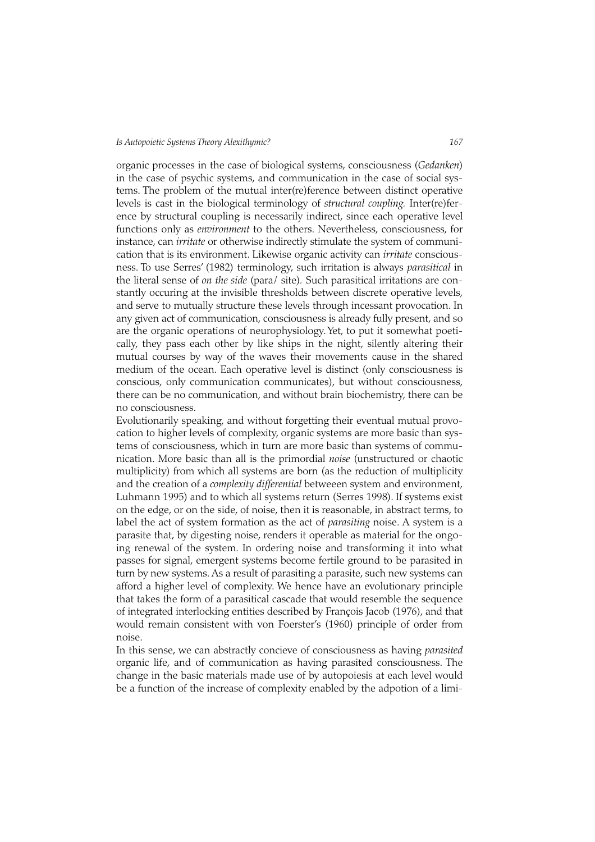organic processes in the case of biological systems, consciousness (*Gedanken*) in the case of psychic systems, and communication in the case of social systems. The problem of the mutual inter(re)ference between distinct operative levels is cast in the biological terminology of *structural coupling.* Inter(re)ference by structural coupling is necessarily indirect, since each operative level functions only as *environment* to the others. Nevertheless, consciousness, for instance, can *irritate* or otherwise indirectly stimulate the system of communication that is its environment. Likewise organic activity can *irritate* consciousness. To use Serres' (1982) terminology, such irritation is always *parasitical* in the literal sense of *on the side* (para/ site)*.* Such parasitical irritations are constantly occuring at the invisible thresholds between discrete operative levels, and serve to mutually structure these levels through incessant provocation. In any given act of communication, consciousness is already fully present, and so are the organic operations of neurophysiology. Yet, to put it somewhat poetically, they pass each other by like ships in the night, silently altering their mutual courses by way of the waves their movements cause in the shared medium of the ocean. Each operative level is distinct (only consciousness is conscious, only communication communicates), but without consciousness, there can be no communication, and without brain biochemistry, there can be no consciousness.

Evolutionarily speaking, and without forgetting their eventual mutual provocation to higher levels of complexity, organic systems are more basic than systems of consciousness, which in turn are more basic than systems of communication. More basic than all is the primordial *noise* (unstructured or chaotic multiplicity) from which all systems are born (as the reduction of multiplicity and the creation of a *complexity differential* betweeen system and environment, Luhmann 1995) and to which all systems return (Serres 1998). If systems exist on the edge, or on the side, of noise, then it is reasonable, in abstract terms, to label the act of system formation as the act of *parasiting* noise. A system is a parasite that, by digesting noise, renders it operable as material for the ongoing renewal of the system. In ordering noise and transforming it into what passes for signal, emergent systems become fertile ground to be parasited in turn by new systems. As a result of parasiting a parasite, such new systems can afford a higher level of complexity. We hence have an evolutionary principle that takes the form of a parasitical cascade that would resemble the sequence of integrated interlocking entities described by François Jacob (1976), and that would remain consistent with von Foerster's (1960) principle of order from noise.

In this sense, we can abstractly concieve of consciousness as having *parasited* organic life, and of communication as having parasited consciousness. The change in the basic materials made use of by autopoiesis at each level would be a function of the increase of complexity enabled by the adpotion of a limi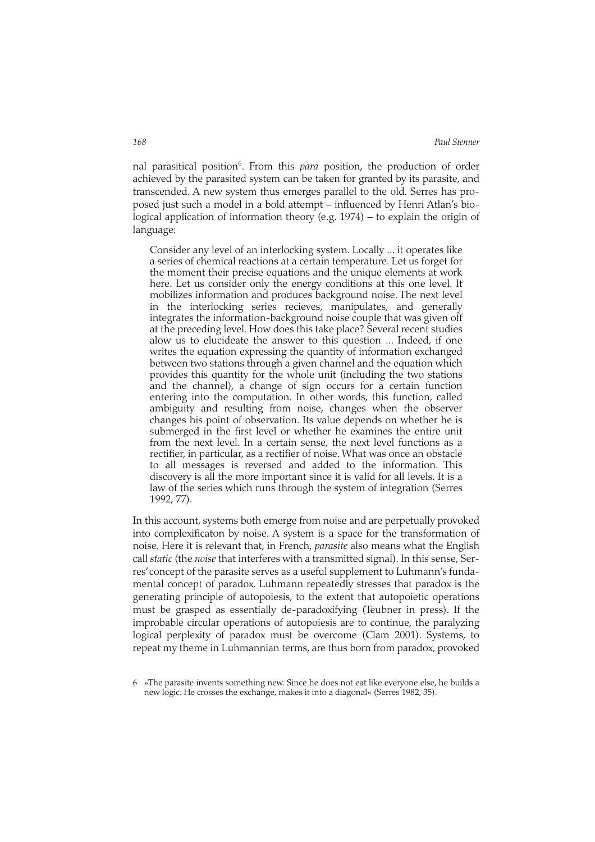nal parasitical position<sup>6</sup>. From this *para* position, the production of order achieved by the parasited system can be taken for granted by its parasite, and transcended. A new system thus emerges parallel to the old. Serres has proposed just such a model in a bold attempt – influenced by Henri Atlan's biological application of information theory (e.g. 1974) – to explain the origin of language:

Consider any level of an interlocking system. Locally ... it operates like a series of chemical reactions at a certain temperature. Let us forget for the moment their precise equations and the unique elements at work here. Let us consider only the energy conditions at this one level. It mobilizes information and produces background noise. The next level in the interlocking series recieves, manipulates, and generally integrates the information-background noise couple that was given off at the preceding level. How does this take place? Several recent studies alow us to elucideate the answer to this question ... Indeed, if one writes the equation expressing the quantity of information exchanged between two stations through a given channel and the equation which provides this quantity for the whole unit (including the two stations and the channel), a change of sign occurs for a certain function entering into the computation. In other words, this function, called ambiguity and resulting from noise, changes when the observer changes his point of observation. Its value depends on whether he is submerged in the first level or whether he examines the entire unit from the next level. In a certain sense, the next level functions as a rectifier, in particular, as a rectifier of noise. What was once an obstacle to all messages is reversed and added to the information. This discovery is all the more important since it is valid for all levels. It is a law of the series which runs through the system of integration (Serres 1992, 77).

In this account, systems both emerge from noise and are perpetually provoked into complexificaton by noise. A system is a space for the transformation of noise*.* Here it is relevant that, in French, *parasite* also means what the English call *static* (the *noise* that interferes with a transmitted signal). In this sense, Serres'concept of the parasite serves as a useful supplement to Luhmann's fundamental concept of paradox*.* Luhmann repeatedly stresses that paradox is the generating principle of autopoiesis, to the extent that autopoietic operations must be grasped as essentially de-paradoxifying (Teubner in press). If the improbable circular operations of autopoiesis are to continue, the paralyzing logical perplexity of paradox must be overcome (Clam 2001). Systems, to repeat my theme in Luhmannian terms, are thus born from paradox, provoked

<sup>6 »</sup>The parasite invents something new. Since he does not eat like everyone else, he builds a new logic. He crosses the exchange, makes it into a diagonal« (Serres 1982, 35).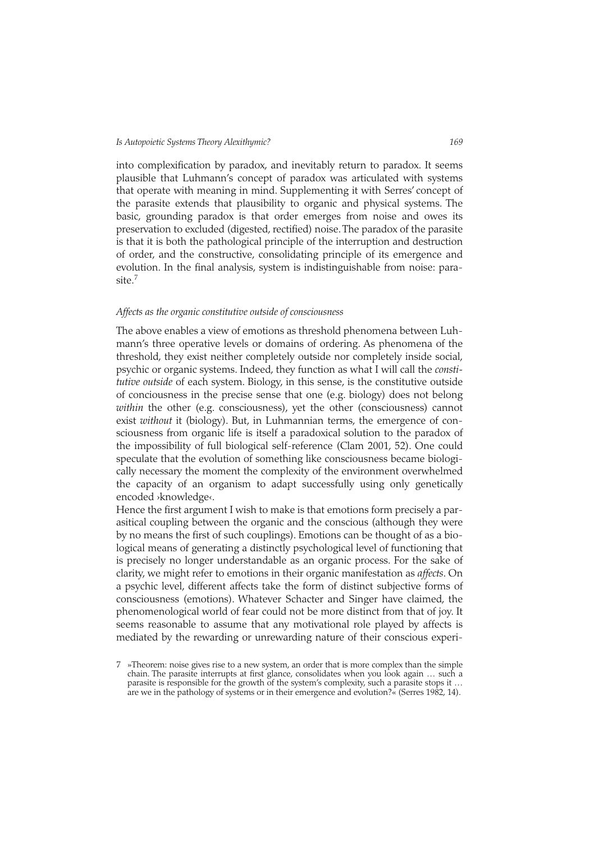into complexification by paradox, and inevitably return to paradox. It seems plausible that Luhmann's concept of paradox was articulated with systems that operate with meaning in mind. Supplementing it with Serres' concept of the parasite extends that plausibility to organic and physical systems. The basic, grounding paradox is that order emerges from noise and owes its preservation to excluded (digested, rectified) noise. The paradox of the parasite is that it is both the pathological principle of the interruption and destruction of order, and the constructive, consolidating principle of its emergence and evolution. In the final analysis, system is indistinguishable from noise: parasite.7

### *Affects as the organic constitutive outside of consciousness*

The above enables a view of emotions as threshold phenomena between Luhmann's three operative levels or domains of ordering. As phenomena of the threshold, they exist neither completely outside nor completely inside social, psychic or organic systems. Indeed, they function as what I will call the *constitutive outside* of each system. Biology, in this sense, is the constitutive outside of conciousness in the precise sense that one (e.g. biology) does not belong *within* the other (e.g. consciousness), yet the other (consciousness) cannot exist *without* it (biology). But, in Luhmannian terms, the emergence of consciousness from organic life is itself a paradoxical solution to the paradox of the impossibility of full biological self-reference (Clam 2001, 52). One could speculate that the evolution of something like consciousness became biologically necessary the moment the complexity of the environment overwhelmed the capacity of an organism to adapt successfully using only genetically encoded ›knowledge‹.

Hence the first argument I wish to make is that emotions form precisely a parasitical coupling between the organic and the conscious (although they were by no means the first of such couplings). Emotions can be thought of as a biological means of generating a distinctly psychological level of functioning that is precisely no longer understandable as an organic process. For the sake of clarity, we might refer to emotions in their organic manifestation as *affects*. On a psychic level, different affects take the form of distinct subjective forms of consciousness (emotions). Whatever Schacter and Singer have claimed, the phenomenological world of fear could not be more distinct from that of joy. It seems reasonable to assume that any motivational role played by affects is mediated by the rewarding or unrewarding nature of their conscious experi-

<sup>7 »</sup>Theorem: noise gives rise to a new system, an order that is more complex than the simple chain. The parasite interrupts at first glance, consolidates when you look again ... such a parasite is responsible for the growth of the system's complexity, such a parasite stops it … are we in the pathology of systems or in their emergence and evolution?« (Serres 1982, 14).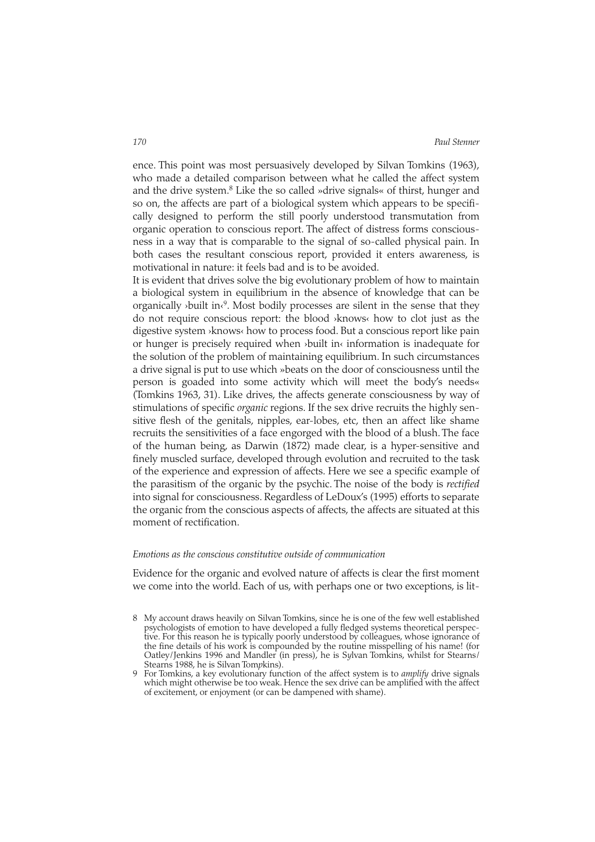ence. This point was most persuasively developed by Silvan Tomkins (1963), who made a detailed comparison between what he called the affect system and the drive system.<sup>8</sup> Like the so called »drive signals« of thirst, hunger and so on, the affects are part of a biological system which appears to be specifically designed to perform the still poorly understood transmutation from organic operation to conscious report. The affect of distress forms consciousness in a way that is comparable to the signal of so-called physical pain. In both cases the resultant conscious report, provided it enters awareness, is motivational in nature: it feels bad and is to be avoided.

It is evident that drives solve the big evolutionary problem of how to maintain a biological system in equilibrium in the absence of knowledge that can be organically ›built in‹9. Most bodily processes are silent in the sense that they do not require conscious report: the blood ›knows‹ how to clot just as the digestive system ›knows‹ how to process food. But a conscious report like pain or hunger is precisely required when ›built in‹ information is inadequate for the solution of the problem of maintaining equilibrium. In such circumstances a drive signal is put to use which »beats on the door of consciousness until the person is goaded into some activity which will meet the body's needs« (Tomkins 1963, 31). Like drives, the affects generate consciousness by way of stimulations of specific *organic* regions. If the sex drive recruits the highly sensitive flesh of the genitals, nipples, ear-lobes, etc, then an affect like shame recruits the sensitivities of a face engorged with the blood of a blush. The face of the human being, as Darwin (1872) made clear, is a hyper-sensitive and finely muscled surface, developed through evolution and recruited to the task of the experience and expression of affects. Here we see a specific example of the parasitism of the organic by the psychic. The noise of the body is *rectified* into signal for consciousness. Regardless of LeDoux's (1995) efforts to separate the organic from the conscious aspects of affects, the affects are situated at this moment of rectification.

# *Emotions as the conscious constitutive outside of communication*

Evidence for the organic and evolved nature of affects is clear the first moment we come into the world. Each of us, with perhaps one or two exceptions, is lit-

<sup>8</sup> My account draws heavily on Silvan Tomkins, since he is one of the few well established psychologists of emotion to have developed a fully fledged systems theoretical perspective. For this reason he is typically poorly understood by colleagues, whose ignorance of the fine details of his work is compounded by the routine misspelling of his name! (for Oatley/Jenkins 1996 and Mandler (in press), he is S*y*lvan Tomkins, whilst for Stearns/ Stearns 1988, he is Silvan Tom*p*kins).

<sup>9</sup> For Tomkins, a key evolutionary function of the affect system is to *amplify* drive signals which might otherwise be too weak. Hence the sex drive can be amplified with the affect of excitement, or enjoyment (or can be dampened with shame).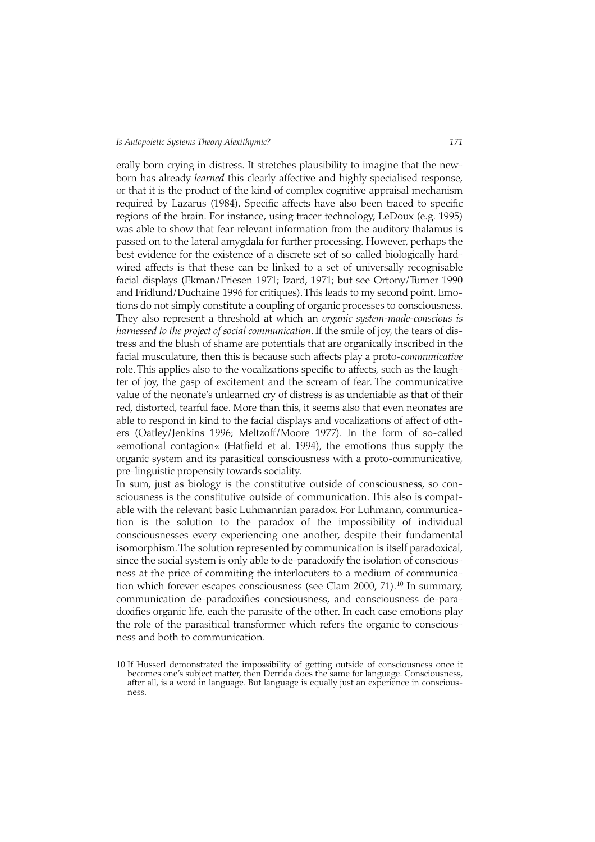erally born crying in distress. It stretches plausibility to imagine that the newborn has already *learned* this clearly affective and highly specialised response, or that it is the product of the kind of complex cognitive appraisal mechanism required by Lazarus (1984). Specific affects have also been traced to specific regions of the brain. For instance, using tracer technology, LeDoux (e.g. 1995) was able to show that fear-relevant information from the auditory thalamus is passed on to the lateral amygdala for further processing. However, perhaps the best evidence for the existence of a discrete set of so-called biologically hardwired affects is that these can be linked to a set of universally recognisable facial displays (Ekman/Friesen 1971; Izard, 1971; but see Ortony/Turner 1990 and Fridlund/Duchaine 1996 for critiques).This leads to my second point. Emotions do not simply constitute a coupling of organic processes to consciousness. They also represent a threshold at which an *organic system-made-conscious is harnessed to the project of social communication*. If the smile of joy, the tears of distress and the blush of shame are potentials that are organically inscribed in the facial musculature, then this is because such affects play a proto-*communicative* role. This applies also to the vocalizations specific to affects, such as the laughter of joy, the gasp of excitement and the scream of fear. The communicative value of the neonate's unlearned cry of distress is as undeniable as that of their red, distorted, tearful face. More than this, it seems also that even neonates are able to respond in kind to the facial displays and vocalizations of affect of others (Oatley/Jenkins 1996; Meltzoff/Moore 1977). In the form of so-called »emotional contagion« (Hatfield et al. 1994), the emotions thus supply the organic system and its parasitical consciousness with a proto-communicative, pre-linguistic propensity towards sociality.

In sum, just as biology is the constitutive outside of consciousness, so consciousness is the constitutive outside of communication. This also is compatable with the relevant basic Luhmannian paradox. For Luhmann, communication is the solution to the paradox of the impossibility of individual consciousnesses every experiencing one another, despite their fundamental isomorphism.The solution represented by communication is itself paradoxical, since the social system is only able to de-paradoxify the isolation of consciousness at the price of commiting the interlocuters to a medium of communication which forever escapes consciousness (see Clam 2000, 71).<sup>10</sup> In summary, communication de-paradoxifies concsiousness, and consciousness de-paradoxifies organic life, each the parasite of the other. In each case emotions play the role of the parasitical transformer which refers the organic to consciousness and both to communication.

<sup>10</sup> If Husserl demonstrated the impossibility of getting outside of consciousness once it becomes one's subject matter, then Derrida does the same for language. Consciousness, after all, is a word in language. But language is equally just an experience in consciousness.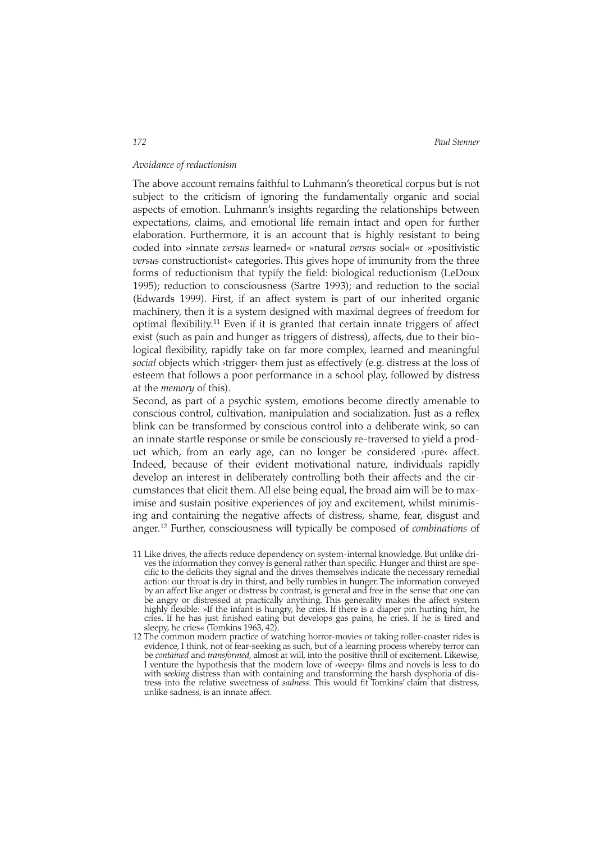*172 Paul Stenner*

# *Avoidance of reductionism*

The above account remains faithful to Luhmann's theoretical corpus but is not subject to the criticism of ignoring the fundamentally organic and social aspects of emotion. Luhmann's insights regarding the relationships between expectations, claims, and emotional life remain intact and open for further elaboration. Furthermore, it is an account that is highly resistant to being coded into »innate *versus* learned« or »natural *versus* social« or »positivistic *versus* constructionist« categories. This gives hope of immunity from the three forms of reductionism that typify the field: biological reductionism (LeDoux 1995); reduction to consciousness (Sartre 1993); and reduction to the social (Edwards 1999). First, if an affect system is part of our inherited organic machinery, then it is a system designed with maximal degrees of freedom for optimal flexibility.11 Even if it is granted that certain innate triggers of affect exist (such as pain and hunger as triggers of distress), affects, due to their biological flexibility, rapidly take on far more complex, learned and meaningful *social* objects which ›trigger‹ them just as effectively (e.g. distress at the loss of esteem that follows a poor performance in a school play, followed by distress at the *memory* of this).

Second, as part of a psychic system, emotions become directly amenable to conscious control, cultivation, manipulation and socialization. Just as a reflex blink can be transformed by conscious control into a deliberate wink, so can an innate startle response or smile be consciously re-traversed to yield a product which, from an early age, can no longer be considered ›pure‹ affect. Indeed, because of their evident motivational nature, individuals rapidly develop an interest in deliberately controlling both their affects and the circumstances that elicit them. All else being equal, the broad aim will be to maximise and sustain positive experiences of joy and excitement, whilst minimising and containing the negative affects of distress, shame, fear, disgust and anger.12 Further, consciousness will typically be composed of *combinations* of

- 11 Like drives, the affects reduce dependency on system-internal knowledge. But unlike drives the information they convey is general rather than specific. Hunger and thirst are specific to the deficits they signal and the drives themselves indicate the necessary remedial action: our throat is dry in thirst, and belly rumbles in hunger. The information conveyed by an affect like anger or distress by contrast, is general and free in the sense that one can be angry or distressed at practically anything. This generality makes the affect system highly flexible: »If the infant is hungry, he cries. If there is a diaper pin hurting him, he cries. If he has just finished eating but develops gas pains, he cries. If he is tired and sleepy, he cries« (Tomkins 1963, 42).
- 12 The common modern practice of watching horror-movies or taking roller-coaster rides is evidence, I think, not of fear-seeking as such, but of a learning process whereby terror can be *contained* and *transformed*, almost at will, into the positive thrill of excitement. Likewise, I venture the hypothesis that the modern love of  $\vec{v}$  weepy films and novels is less to do with *seeking* distress than with containing and transforming the harsh dysphoria of distress into the relative sweetness of *sadness.* This would fit Tomkins' claim that distress, unlike sadness, is an innate affect.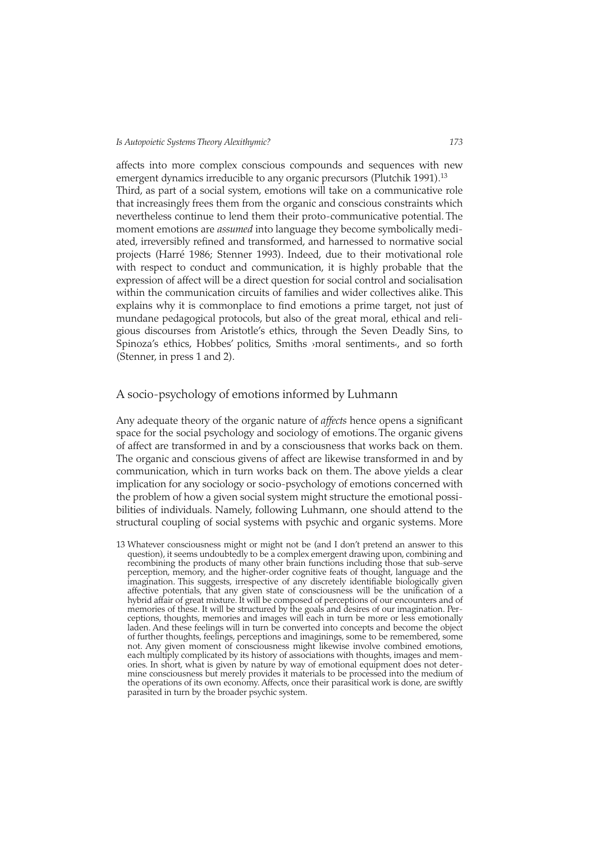affects into more complex conscious compounds and sequences with new emergent dynamics irreducible to any organic precursors (Plutchik 1991).<sup>13</sup> Third, as part of a social system, emotions will take on a communicative role that increasingly frees them from the organic and conscious constraints which nevertheless continue to lend them their proto-communicative potential. The moment emotions are *assumed* into language they become symbolically mediated, irreversibly refined and transformed, and harnessed to normative social projects (Harré 1986; Stenner 1993). Indeed, due to their motivational role with respect to conduct and communication, it is highly probable that the expression of affect will be a direct question for social control and socialisation within the communication circuits of families and wider collectives alike. This explains why it is commonplace to find emotions a prime target, not just of mundane pedagogical protocols, but also of the great moral, ethical and religious discourses from Aristotle's ethics, through the Seven Deadly Sins, to Spinoza's ethics, Hobbes' politics, Smiths >moral sentiments<, and so forth (Stenner, in press 1 and 2).

# A socio-psychology of emotions informed by Luhmann

Any adequate theory of the organic nature of *affects* hence opens a significant space for the social psychology and sociology of emotions. The organic givens of affect are transformed in and by a consciousness that works back on them. The organic and conscious givens of affect are likewise transformed in and by communication, which in turn works back on them. The above yields a clear implication for any sociology or socio-psychology of emotions concerned with the problem of how a given social system might structure the emotional possibilities of individuals. Namely, following Luhmann, one should attend to the structural coupling of social systems with psychic and organic systems. More

13 Whatever consciousness might or might not be (and I don't pretend an answer to this question), it seems undoubtedly to be a complex emergent drawing upon, combining and recombining the products of many other brain functions including those that sub-serve perception, memory, and the higher-order cognitive feats of thought, language and the imagination. This suggests, irrespective of any discretely identifiable biologically given affective potentials, that any given state of consciousness will be the unification of a hybrid affair of great mixture. It will be composed of perceptions of our encounters and of memories of these. It will be structured by the goals and desires of our imagination. Perceptions, thoughts, memories and images will each in turn be more or less emotionally laden. And these feelings will in turn be converted into concepts and become the object of further thoughts, feelings, perceptions and imaginings, some to be remembered, some not. Any given moment of consciousness might likewise involve combined emotions, each multiply complicated by its history of associations with thoughts, images and memories. In short, what is given by nature by way of emotional equipment does not determine consciousness but merely provides it materials to be processed into the medium of the operations of its own economy. Affects, once their parasitical work is done, are swiftly parasited in turn by the broader psychic system.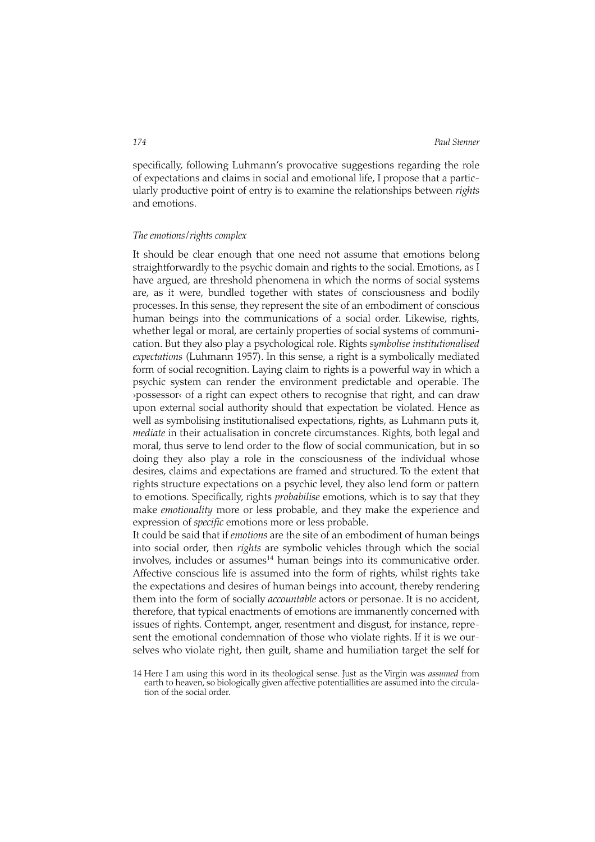specifically, following Luhmann's provocative suggestions regarding the role of expectations and claims in social and emotional life, I propose that a particularly productive point of entry is to examine the relationships between *rights* and emotions.

# *The emotions*/*rights complex*

It should be clear enough that one need not assume that emotions belong straightforwardly to the psychic domain and rights to the social. Emotions, as I have argued, are threshold phenomena in which the norms of social systems are, as it were, bundled together with states of consciousness and bodily processes. In this sense, they represent the site of an embodiment of conscious human beings into the communications of a social order. Likewise, rights, whether legal or moral, are certainly properties of social systems of communication. But they also play a psychological role. Rights *symbolise institutionalised expectations* (Luhmann 1957). In this sense, a right is a symbolically mediated form of social recognition. Laying claim to rights is a powerful way in which a psychic system can render the environment predictable and operable. The ›possessor‹ of a right can expect others to recognise that right, and can draw upon external social authority should that expectation be violated. Hence as well as symbolising institutionalised expectations, rights, as Luhmann puts it, *mediate* in their actualisation in concrete circumstances. Rights, both legal and moral, thus serve to lend order to the flow of social communication, but in so doing they also play a role in the consciousness of the individual whose desires, claims and expectations are framed and structured. To the extent that rights structure expectations on a psychic level, they also lend form or pattern to emotions. Specifically, rights *probabilise* emotions, which is to say that they make *emotionality* more or less probable, and they make the experience and expression of *specific* emotions more or less probable.

It could be said that if *emotions* are the site of an embodiment of human beings into social order, then *rights* are symbolic vehicles through which the social  $involves,$  includes or assumes $<sup>14</sup>$  human beings into its communicative order.</sup> Affective conscious life is assumed into the form of rights, whilst rights take the expectations and desires of human beings into account, thereby rendering them into the form of socially *accountable* actors or personae. It is no accident, therefore, that typical enactments of emotions are immanently concerned with issues of rights. Contempt, anger, resentment and disgust, for instance, represent the emotional condemnation of those who violate rights. If it is we ourselves who violate right, then guilt, shame and humiliation target the self for

<sup>14</sup> Here I am using this word in its theological sense. Just as the Virgin was *assumed* from earth to heaven, so biologically given affective potentiallities are assumed into the circulation of the social order.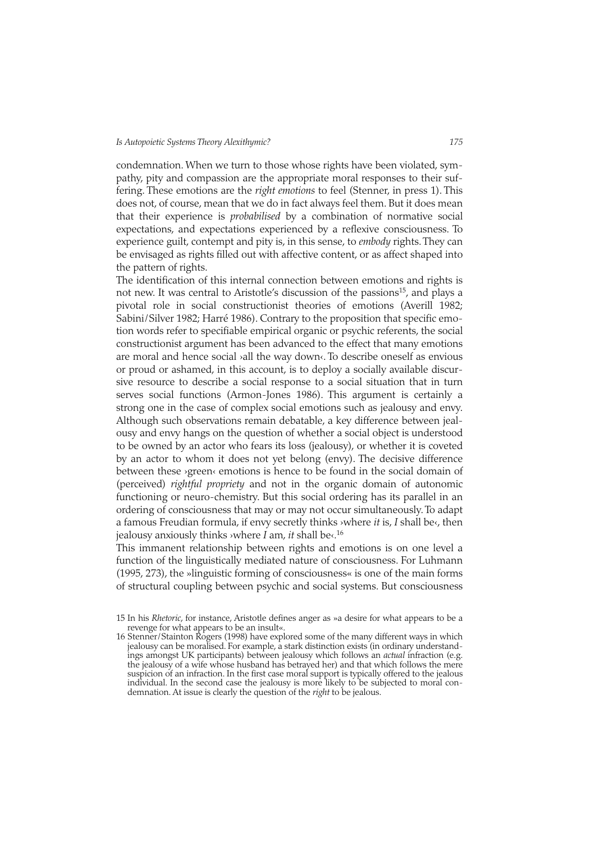condemnation. When we turn to those whose rights have been violated, sympathy, pity and compassion are the appropriate moral responses to their suffering. These emotions are the *right emotions* to feel (Stenner, in press 1). This does not, of course, mean that we do in fact always feel them. But it does mean that their experience is *probabilised* by a combination of normative social expectations, and expectations experienced by a reflexive consciousness. To experience guilt, contempt and pity is, in this sense, to *embody* rights. They can be envisaged as rights filled out with affective content, or as affect shaped into the pattern of rights.

The identification of this internal connection between emotions and rights is not new. It was central to Aristotle's discussion of the passions<sup>15</sup>, and plays a pivotal role in social constructionist theories of emotions (Averill 1982; Sabini/Silver 1982; Harré 1986). Contrary to the proposition that specific emotion words refer to specifiable empirical organic or psychic referents, the social constructionist argument has been advanced to the effect that many emotions are moral and hence social ›all the way down‹. To describe oneself as envious or proud or ashamed, in this account, is to deploy a socially available discursive resource to describe a social response to a social situation that in turn serves social functions (Armon-Jones 1986). This argument is certainly a strong one in the case of complex social emotions such as jealousy and envy. Although such observations remain debatable, a key difference between jealousy and envy hangs on the question of whether a social object is understood to be owned by an actor who fears its loss (jealousy), or whether it is coveted by an actor to whom it does not yet belong (envy). The decisive difference between these ›green‹ emotions is hence to be found in the social domain of (perceived) *rightful propriety* and not in the organic domain of autonomic functioning or neuro-chemistry. But this social ordering has its parallel in an ordering of consciousness that may or may not occur simultaneously. To adapt a famous Freudian formula, if envy secretly thinks ›where *it* is, *I* shall be‹, then jealousy anxiously thinks ›where *I* am, *it* shall be‹.16

This immanent relationship between rights and emotions is on one level a function of the linguistically mediated nature of consciousness. For Luhmann (1995, 273), the »linguistic forming of consciousness« is one of the main forms of structural coupling between psychic and social systems. But consciousness

<sup>15</sup> In his *Rhetoric*, for instance, Aristotle defines anger as »a desire for what appears to be a revenge for what appears to be an insult«.

<sup>16</sup> Stenner/Stainton Rogers (1998) have explored some of the many different ways in which jealousy can be moralised. For example, a stark distinction exists (in ordinary understandings amongst UK participants) between jealousy which follows an *actual* infraction (e.g. the jealousy of a wife whose husband has betrayed her) and that which follows the mere suspicion of an infraction. In the first case moral support is typically offered to the jealous individual. In the second case the jealousy is more likely to be subjected to moral condemnation. At issue is clearly the question of the *right* to be jealous.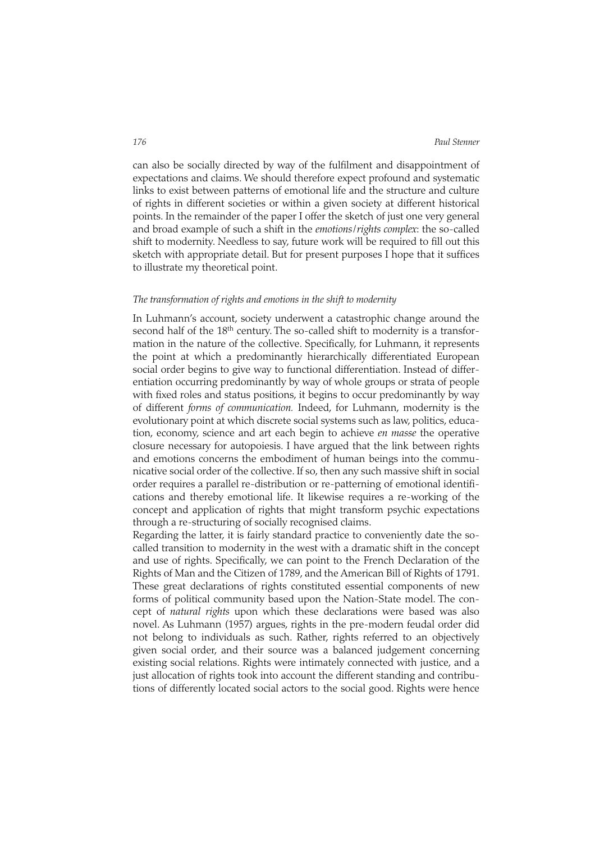can also be socially directed by way of the fulfilment and disappointment of expectations and claims. We should therefore expect profound and systematic links to exist between patterns of emotional life and the structure and culture of rights in different societies or within a given society at different historical points. In the remainder of the paper I offer the sketch of just one very general and broad example of such a shift in the *emotions*/*rights complex*: the so-called shift to modernity. Needless to say, future work will be required to fill out this sketch with appropriate detail. But for present purposes I hope that it suffices to illustrate my theoretical point.

# *The transformation of rights and emotions in the shift to modernity*

In Luhmann's account, society underwent a catastrophic change around the second half of the 18<sup>th</sup> century. The so-called shift to modernity is a transformation in the nature of the collective. Specifically, for Luhmann, it represents the point at which a predominantly hierarchically differentiated European social order begins to give way to functional differentiation. Instead of differentiation occurring predominantly by way of whole groups or strata of people with fixed roles and status positions, it begins to occur predominantly by way of different *forms of communication.* Indeed, for Luhmann, modernity is the evolutionary point at which discrete social systems such as law, politics, education, economy, science and art each begin to achieve *en masse* the operative closure necessary for autopoiesis. I have argued that the link between rights and emotions concerns the embodiment of human beings into the communicative social order of the collective. If so, then any such massive shift in social order requires a parallel re-distribution or re-patterning of emotional identifications and thereby emotional life. It likewise requires a re-working of the concept and application of rights that might transform psychic expectations through a re-structuring of socially recognised claims.

Regarding the latter, it is fairly standard practice to conveniently date the socalled transition to modernity in the west with a dramatic shift in the concept and use of rights. Specifically, we can point to the French Declaration of the Rights of Man and the Citizen of 1789, and the American Bill of Rights of 1791. These great declarations of rights constituted essential components of new forms of political community based upon the Nation-State model. The concept of *natural rights* upon which these declarations were based was also novel. As Luhmann (1957) argues, rights in the pre-modern feudal order did not belong to individuals as such. Rather, rights referred to an objectively given social order, and their source was a balanced judgement concerning existing social relations. Rights were intimately connected with justice, and a just allocation of rights took into account the different standing and contributions of differently located social actors to the social good. Rights were hence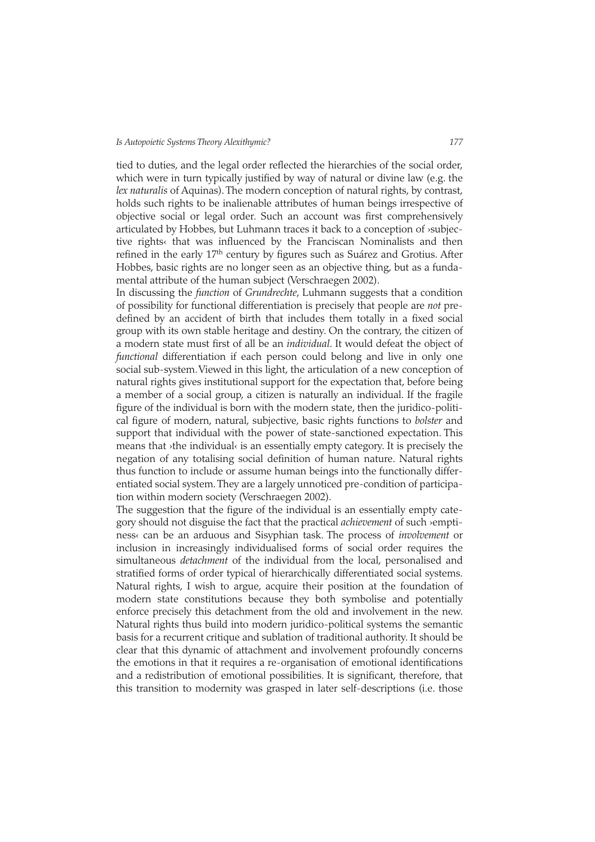tied to duties, and the legal order reflected the hierarchies of the social order, which were in turn typically justified by way of natural or divine law (e.g. the *lex naturalis* of Aquinas). The modern conception of natural rights, by contrast, holds such rights to be inalienable attributes of human beings irrespective of objective social or legal order. Such an account was first comprehensively articulated by Hobbes, but Luhmann traces it back to a conception of ›subjective rights« that was influenced by the Franciscan Nominalists and then refined in the early 17<sup>th</sup> century by figures such as Suárez and Grotius. After Hobbes, basic rights are no longer seen as an objective thing, but as a fundamental attribute of the human subject (Verschraegen 2002).

In discussing the *function* of *Grundrechte*, Luhmann suggests that a condition of possibility for functional differentiation is precisely that people are *not* predefined by an accident of birth that includes them totally in a fixed social group with its own stable heritage and destiny. On the contrary, the citizen of a modern state must first of all be an *individual*. It would defeat the object of *functional* differentiation if each person could belong and live in only one social sub-system.Viewed in this light, the articulation of a new conception of natural rights gives institutional support for the expectation that, before being a member of a social group, a citizen is naturally an individual. If the fragile figure of the individual is born with the modern state, then the juridico-political figure of modern, natural, subjective, basic rights functions to *bolster* and support that individual with the power of state-sanctioned expectation. This means that ›the individual‹ is an essentially empty category. It is precisely the negation of any totalising social definition of human nature. Natural rights thus function to include or assume human beings into the functionally differentiated social system. They are a largely unnoticed pre-condition of participation within modern society (Verschraegen 2002).

The suggestion that the figure of the individual is an essentially empty category should not disguise the fact that the practical *achievement* of such ›emptiness‹ can be an arduous and Sisyphian task. The process of *involvement* or inclusion in increasingly individualised forms of social order requires the simultaneous *detachment* of the individual from the local, personalised and stratified forms of order typical of hierarchically differentiated social systems. Natural rights, I wish to argue, acquire their position at the foundation of modern state constitutions because they both symbolise and potentially enforce precisely this detachment from the old and involvement in the new. Natural rights thus build into modern juridico-political systems the semantic basis for a recurrent critique and sublation of traditional authority. It should be clear that this dynamic of attachment and involvement profoundly concerns the emotions in that it requires a re-organisation of emotional identifications and a redistribution of emotional possibilities. It is significant, therefore, that this transition to modernity was grasped in later self-descriptions (i.e. those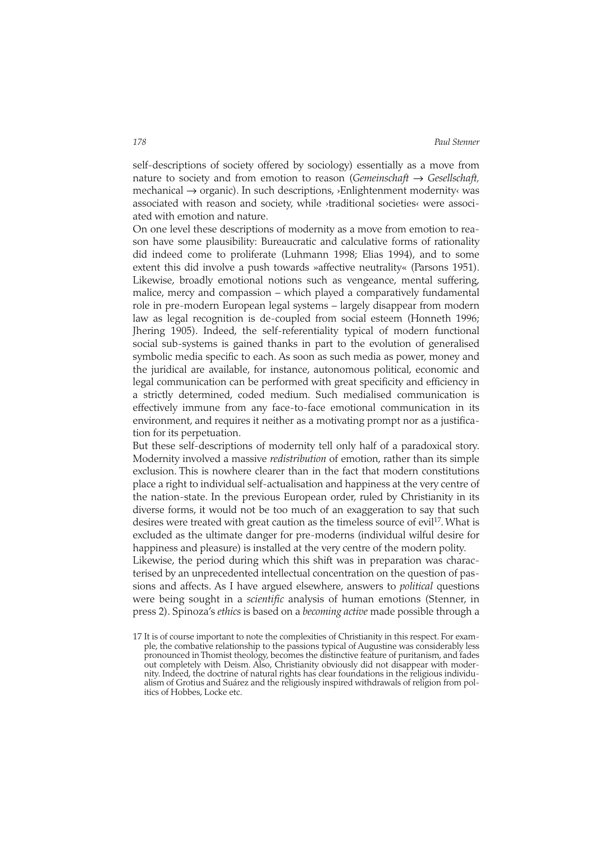self-descriptions of society offered by sociology) essentially as a move from nature to society and from emotion to reason (*Gemeinschaft* → *Gesellschaft,* mechanical → organic). In such descriptions, ›Enlightenment modernity‹ was associated with reason and society, while ›traditional societies‹ were associated with emotion and nature.

On one level these descriptions of modernity as a move from emotion to reason have some plausibility: Bureaucratic and calculative forms of rationality did indeed come to proliferate (Luhmann 1998; Elias 1994), and to some extent this did involve a push towards »affective neutrality« (Parsons 1951). Likewise, broadly emotional notions such as vengeance, mental suffering, malice, mercy and compassion – which played a comparatively fundamental role in pre-modern European legal systems – largely disappear from modern law as legal recognition is de-coupled from social esteem (Honneth 1996; Jhering 1905). Indeed, the self-referentiality typical of modern functional social sub-systems is gained thanks in part to the evolution of generalised symbolic media specific to each. As soon as such media as power, money and the juridical are available, for instance, autonomous political, economic and legal communication can be performed with great specificity and efficiency in a strictly determined, coded medium. Such medialised communication is effectively immune from any face-to-face emotional communication in its environment, and requires it neither as a motivating prompt nor as a justification for its perpetuation.

But these self-descriptions of modernity tell only half of a paradoxical story. Modernity involved a massive *redistribution* of emotion, rather than its simple exclusion. This is nowhere clearer than in the fact that modern constitutions place a right to individual self-actualisation and happiness at the very centre of the nation-state. In the previous European order, ruled by Christianity in its diverse forms, it would not be too much of an exaggeration to say that such desires were treated with great caution as the timeless source of evil<sup>17</sup>. What is excluded as the ultimate danger for pre-moderns (individual wilful desire for happiness and pleasure) is installed at the very centre of the modern polity.

Likewise, the period during which this shift was in preparation was characterised by an unprecedented intellectual concentration on the question of passions and affects. As I have argued elsewhere, answers to *political* questions were being sought in a *scientific* analysis of human emotions (Stenner, in press 2). Spinoza's *ethics* is based on a *becoming active* made possible through a

<sup>17</sup> It is of course important to note the complexities of Christianity in this respect. For example, the combative relationship to the passions typical of Augustine was considerably less pronounced in Thomist theology, becomes the distinctive feature of puritanism, and fades out completely with Deism. Also, Christianity obviously did not disappear with modernity. Indeed, the doctrine of natural rights has clear foundations in the religious individualism of Grotius and Suárez and the religiously inspired withdrawals of religion from politics of Hobbes, Locke etc.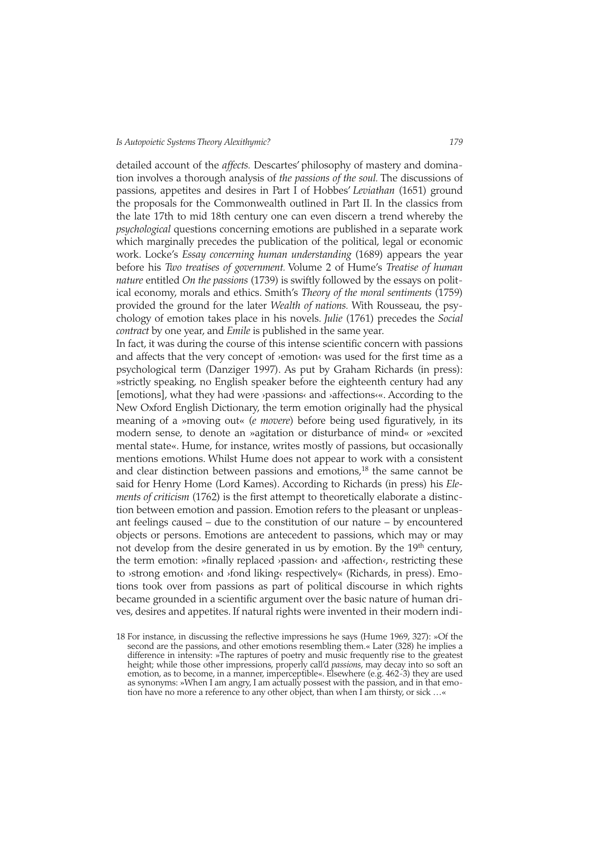detailed account of the *affects.* Descartes' philosophy of mastery and domination involves a thorough analysis of *the passions of the soul.* The discussions of passions, appetites and desires in Part I of Hobbes' *Leviathan* (1651) ground the proposals for the Commonwealth outlined in Part II. In the classics from the late 17th to mid 18th century one can even discern a trend whereby the *psychological* questions concerning emotions are published in a separate work which marginally precedes the publication of the political, legal or economic work. Locke's *Essay concerning human understanding* (1689) appears the year before his *Two treatises of government.* Volume 2 of Hume's *Treatise of human nature* entitled *On the passions* (1739) is swiftly followed by the essays on political economy, morals and ethics. Smith's *Theory of the moral sentiments* (1759) provided the ground for the later *Wealth of nations.* With Rousseau, the psychology of emotion takes place in his novels. *Julie* (1761) precedes the *Social contract* by one year, and *Emile* is published in the same year.

In fact, it was during the course of this intense scientific concern with passions and affects that the very concept of >emotion< was used for the first time as a psychological term (Danziger 1997). As put by Graham Richards (in press): »strictly speaking, no English speaker before the eighteenth century had any [emotions], what they had were ›passions‹ and ›affections‹«. According to the New Oxford English Dictionary, the term emotion originally had the physical meaning of a »moving out« (*e movere*) before being used figuratively, in its modern sense, to denote an »agitation or disturbance of mind« or »excited mental state«. Hume, for instance, writes mostly of passions, but occasionally mentions emotions. Whilst Hume does not appear to work with a consistent and clear distinction between passions and emotions, $18$  the same cannot be said for Henry Home (Lord Kames). According to Richards (in press) his *Elements of criticism* (1762) is the first attempt to theoretically elaborate a distinction between emotion and passion. Emotion refers to the pleasant or unpleasant feelings caused – due to the constitution of our nature – by encountered objects or persons. Emotions are antecedent to passions, which may or may not develop from the desire generated in us by emotion. By the 19<sup>th</sup> century, the term emotion: »finally replaced ›passion‹ and ›affection‹, restricting these to »strong emotion« and »fond liking« respectively« (Richards, in press). Emotions took over from passions as part of political discourse in which rights became grounded in a scientific argument over the basic nature of human drives, desires and appetites. If natural rights were invented in their modern indi-

<sup>18</sup> For instance, in discussing the reflective impressions he says (Hume 1969, 327): »Of the second are the passions, and other emotions resembling them.« Later (328) he implies a difference in intensity: »The raptures of poetry and music frequently rise to the greatest height; while those other impressions, properly call'd *passions*, may decay into so soft an emotion, as to become, in a manner, imperceptible«. Elsewhere (e.g. 462-3) they are used as synonyms: »When I am angry, I am actually possest with the passion, and in that emotion have no more a reference to any other object, than when I am thirsty, or sick …«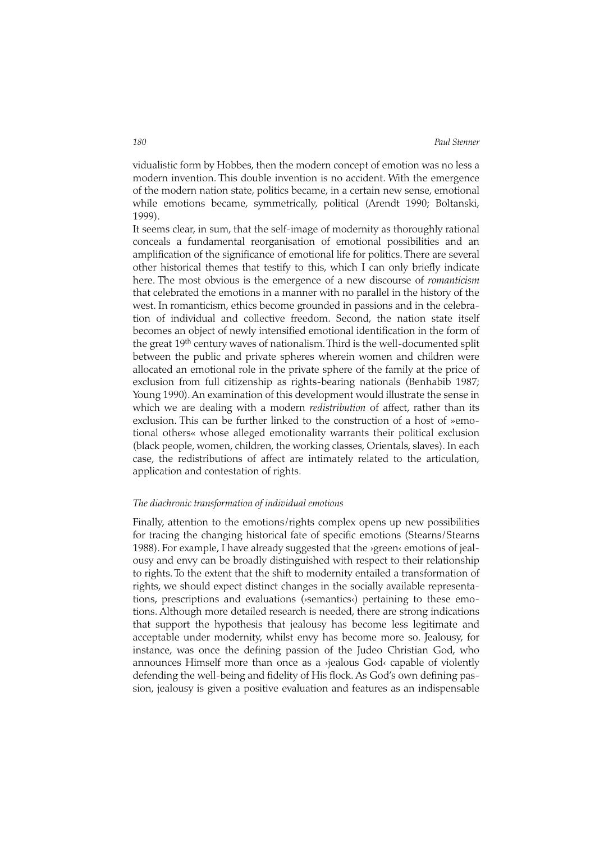vidualistic form by Hobbes, then the modern concept of emotion was no less a modern invention. This double invention is no accident. With the emergence of the modern nation state, politics became, in a certain new sense, emotional while emotions became, symmetrically, political (Arendt 1990; Boltanski, 1999).

It seems clear, in sum, that the self-image of modernity as thoroughly rational conceals a fundamental reorganisation of emotional possibilities and an amplification of the significance of emotional life for politics. There are several other historical themes that testify to this, which I can only briefly indicate here. The most obvious is the emergence of a new discourse of *romanticism* that celebrated the emotions in a manner with no parallel in the history of the west. In romanticism, ethics become grounded in passions and in the celebration of individual and collective freedom. Second, the nation state itself becomes an object of newly intensified emotional identification in the form of the great 19<sup>th</sup> century waves of nationalism. Third is the well-documented split between the public and private spheres wherein women and children were allocated an emotional role in the private sphere of the family at the price of exclusion from full citizenship as rights-bearing nationals (Benhabib 1987; Young 1990). An examination of this development would illustrate the sense in which we are dealing with a modern *redistribution* of affect, rather than its exclusion. This can be further linked to the construction of a host of »emotional others« whose alleged emotionality warrants their political exclusion (black people, women, children, the working classes, Orientals, slaves). In each case, the redistributions of affect are intimately related to the articulation, application and contestation of rights.

### *The diachronic transformation of individual emotions*

Finally, attention to the emotions/rights complex opens up new possibilities for tracing the changing historical fate of specific emotions (Stearns/Stearns 1988). For example, I have already suggested that the >green< emotions of jealousy and envy can be broadly distinguished with respect to their relationship to rights. To the extent that the shift to modernity entailed a transformation of rights, we should expect distinct changes in the socially available representations, prescriptions and evaluations (›semantics‹) pertaining to these emotions. Although more detailed research is needed, there are strong indications that support the hypothesis that jealousy has become less legitimate and acceptable under modernity, whilst envy has become more so. Jealousy, for instance, was once the defining passion of the Judeo Christian God, who announces Himself more than once as a *y*jealous God« capable of violently defending the well-being and fidelity of His flock. As God's own defining passion, jealousy is given a positive evaluation and features as an indispensable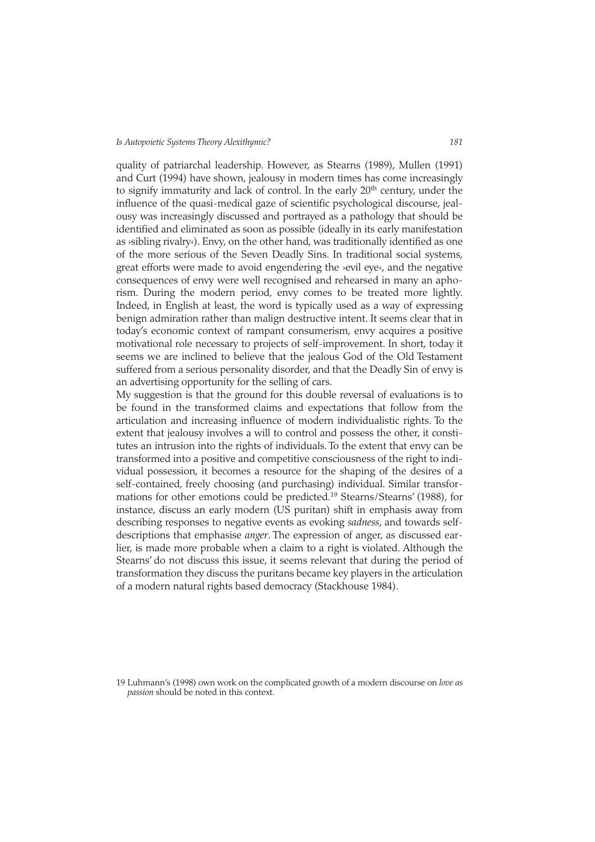quality of patriarchal leadership. However, as Stearns (1989), Mullen (1991) and Curt (1994) have shown, jealousy in modern times has come increasingly to signify immaturity and lack of control. In the early 20<sup>th</sup> century, under the influence of the quasi-medical gaze of scientific psychological discourse, jealousy was increasingly discussed and portrayed as a pathology that should be identified and eliminated as soon as possible (ideally in its early manifestation as ›sibling rivalry‹). Envy, on the other hand, was traditionally identified as one of the more serious of the Seven Deadly Sins. In traditional social systems, great efforts were made to avoid engendering the ›evil eye‹, and the negative consequences of envy were well recognised and rehearsed in many an aphorism. During the modern period, envy comes to be treated more lightly. Indeed, in English at least, the word is typically used as a way of expressing benign admiration rather than malign destructive intent. It seems clear that in today's economic context of rampant consumerism, envy acquires a positive motivational role necessary to projects of self-improvement. In short, today it seems we are inclined to believe that the jealous God of the Old Testament suffered from a serious personality disorder, and that the Deadly Sin of envy is an advertising opportunity for the selling of cars.

My suggestion is that the ground for this double reversal of evaluations is to be found in the transformed claims and expectations that follow from the articulation and increasing influence of modern individualistic rights. To the extent that jealousy involves a will to control and possess the other, it constitutes an intrusion into the rights of individuals. To the extent that envy can be transformed into a positive and competitive consciousness of the right to individual possession, it becomes a resource for the shaping of the desires of a self-contained, freely choosing (and purchasing) individual. Similar transformations for other emotions could be predicted.19 Stearns/Stearns' (1988), for instance, discuss an early modern (US puritan) shift in emphasis away from describing responses to negative events as evoking *sadness*, and towards selfdescriptions that emphasise *anger*. The expression of anger, as discussed earlier, is made more probable when a claim to a right is violated. Although the Stearns' do not discuss this issue, it seems relevant that during the period of transformation they discuss the puritans became key players in the articulation of a modern natural rights based democracy (Stackhouse 1984).

<sup>19</sup> Luhmann's (1998) own work on the complicated growth of a modern discourse on *love as passion* should be noted in this context.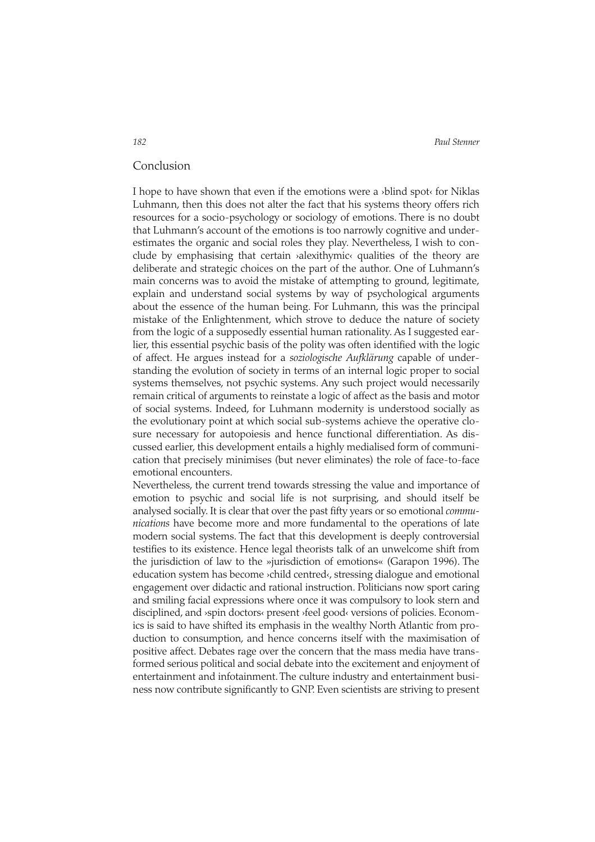*182 Paul Stenner*

# Conclusion

I hope to have shown that even if the emotions were a ›blind spot‹ for Niklas Luhmann, then this does not alter the fact that his systems theory offers rich resources for a socio-psychology or sociology of emotions. There is no doubt that Luhmann's account of the emotions is too narrowly cognitive and underestimates the organic and social roles they play. Nevertheless, I wish to conclude by emphasising that certain ›alexithymic‹ qualities of the theory are deliberate and strategic choices on the part of the author. One of Luhmann's main concerns was to avoid the mistake of attempting to ground, legitimate, explain and understand social systems by way of psychological arguments about the essence of the human being. For Luhmann, this was the principal mistake of the Enlightenment, which strove to deduce the nature of society from the logic of a supposedly essential human rationality. As I suggested earlier, this essential psychic basis of the polity was often identified with the logic of affect. He argues instead for a *soziologische Aufklärung* capable of understanding the evolution of society in terms of an internal logic proper to social systems themselves, not psychic systems. Any such project would necessarily remain critical of arguments to reinstate a logic of affect as the basis and motor of social systems. Indeed, for Luhmann modernity is understood socially as the evolutionary point at which social sub-systems achieve the operative closure necessary for autopoiesis and hence functional differentiation. As discussed earlier, this development entails a highly medialised form of communication that precisely minimises (but never eliminates) the role of face-to-face emotional encounters.

Nevertheless, the current trend towards stressing the value and importance of emotion to psychic and social life is not surprising, and should itself be analysed socially. It is clear that over the past fifty years or so emotional *communications* have become more and more fundamental to the operations of late modern social systems. The fact that this development is deeply controversial testifies to its existence. Hence legal theorists talk of an unwelcome shift from the jurisdiction of law to the »jurisdiction of emotions« (Garapon 1996). The education system has become ›child centred‹, stressing dialogue and emotional engagement over didactic and rational instruction. Politicians now sport caring and smiling facial expressions where once it was compulsory to look stern and disciplined, and ›spin doctors‹ present ›feel good‹ versions of policies. Economics is said to have shifted its emphasis in the wealthy North Atlantic from production to consumption, and hence concerns itself with the maximisation of positive affect. Debates rage over the concern that the mass media have transformed serious political and social debate into the excitement and enjoyment of entertainment and infotainment. The culture industry and entertainment business now contribute significantly to GNP. Even scientists are striving to present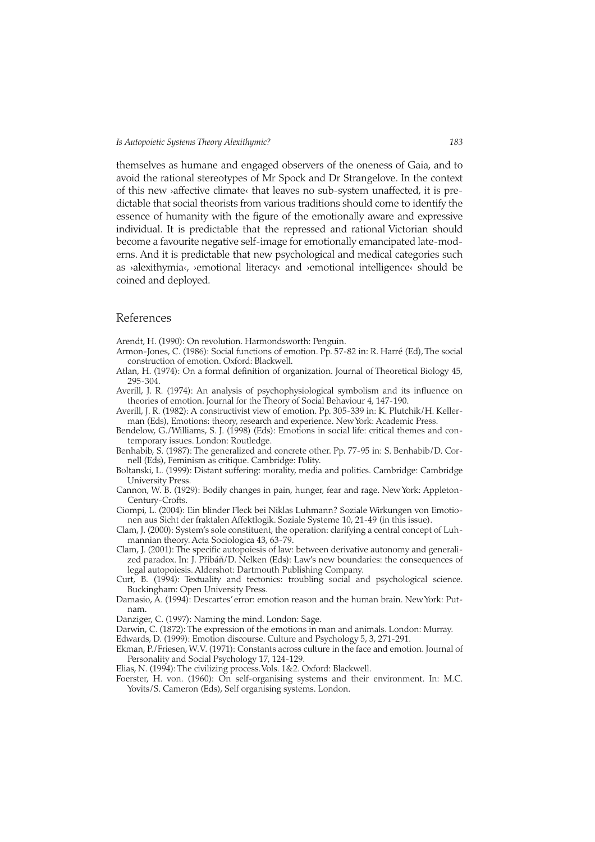themselves as humane and engaged observers of the oneness of Gaia, and to avoid the rational stereotypes of Mr Spock and Dr Strangelove. In the context of this new >affective climate< that leaves no sub-system unaffected, it is predictable that social theorists from various traditions should come to identify the essence of humanity with the figure of the emotionally aware and expressive individual. It is predictable that the repressed and rational Victorian should become a favourite negative self-image for emotionally emancipated late-moderns. And it is predictable that new psychological and medical categories such as ›alexithymia‹, ›emotional literacy‹ and ›emotional intelligence‹ should be coined and deployed.

# References

Arendt, H. (1990): On revolution. Harmondsworth: Penguin.

- Armon-Jones, C. (1986): Social functions of emotion. Pp. 57-82 in: R. Harré (Ed), The social construction of emotion. Oxford: Blackwell.
- Atlan, H. (1974): On a formal definition of organization. Journal of Theoretical Biology 45, 295-304.
- Averill, J. R. (1974): An analysis of psychophysiological symbolism and its influence on theories of emotion. Journal for the Theory of Social Behaviour 4, 147-190.

Averill, J. R. (1982): A constructivist view of emotion. Pp. 305-339 in: K. Plutchik/H. Kellerman (Eds), Emotions: theory, research and experience. New York: Academic Press.

Bendelow, G./Williams, S. J. (1998) (Eds): Emotions in social life: critical themes and contemporary issues. London: Routledge.

Benhabib, S. (1987): The generalized and concrete other. Pp. 77-95 in: S. Benhabib/D. Cornell (Eds), Feminism as critique. Cambridge: Polity.

- Boltanski, L. (1999): Distant suffering: morality, media and politics. Cambridge: Cambridge University Press.
- Cannon, W. B. (1929): Bodily changes in pain, hunger, fear and rage. New York: Appleton-Century-Crofts.
- Ciompi, L. (2004): Ein blinder Fleck bei Niklas Luhmann? Soziale Wirkungen von Emotionen aus Sicht der fraktalen Affektlogik. Soziale Systeme 10, 21-49 (in this issue).

Clam, J. (2000): System's sole constituent, the operation: clarifying a central concept of Luhmannian theory. Acta Sociologica 43, 63-79.

Clam, J. (2001): The specific autopoiesis of law: between derivative autonomy and generalized paradox. In: J. Přibáň/D. Nelken (Eds): Law's new boundaries: the consequences of legal autopoiesis. Aldershot: Dartmouth Publishing Company.

Curt, B. (1994): Textuality and tectonics: troubling social and psychological science. Buckingham: Open University Press.

Damasio, A. (1994): Descartes'error: emotion reason and the human brain. New York: Putnam.

Danziger, C. (1997): Naming the mind. London: Sage.

Darwin, C. (1872): The expression of the emotions in man and animals. London: Murray.

Edwards, D. (1999): Emotion discourse. Culture and Psychology 5, 3, 271-291.

Ekman, P./Friesen, W.V. (1971): Constants across culture in the face and emotion. Journal of Personality and Social Psychology 17, 124-129.

Elias, N. (1994): The civilizing process.Vols. 1&2. Oxford: Blackwell.

Foerster, H. von. (1960): On self-organising systems and their environment. In: M.C. Yovits/S. Cameron (Eds), Self organising systems. London.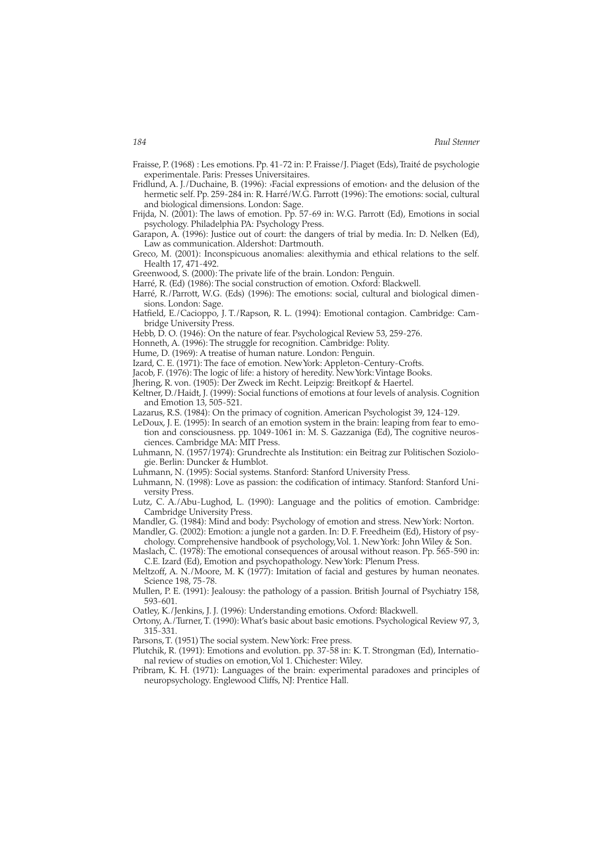- Fraisse, P. (1968) : Les emotions. Pp. 41-72 in: P. Fraisse/J. Piaget (Eds),Traité de psychologie experimentale. Paris: Presses Universitaires.
- Fridlund, A. J./Duchaine, B. (1996): ›Facial expressions of emotion‹ and the delusion of the hermetic self. Pp. 259-284 in: R. Harré/W.G. Parrott (1996): The emotions: social, cultural and biological dimensions. London: Sage.
- Frijda, N. (2001): The laws of emotion. Pp. 57-69 in: W.G. Parrott (Ed), Emotions in social psychology. Philadelphia PA: Psychology Press.
- Garapon, A. (1996): Justice out of court: the dangers of trial by media. In: D. Nelken (Ed), Law as communication. Aldershot: Dartmouth.
- Greco, M. (2001): Inconspicuous anomalies: alexithymia and ethical relations to the self. Health 17, 471-492.
- Greenwood, S. (2000): The private life of the brain. London: Penguin.
- Harré, R. (Ed) (1986): The social construction of emotion. Oxford: Blackwell.
- Harré, R./Parrott, W.G. (Eds) (1996): The emotions: social, cultural and biological dimensions. London: Sage.
- Hatfield, E./Cacioppo, J. T./Rapson, R. L. (1994): Emotional contagion. Cambridge: Cambridge University Press.
- Hebb, D. O. (1946): On the nature of fear. Psychological Review 53, 259-276.
- Honneth, A. (1996): The struggle for recognition. Cambridge: Polity.
- Hume, D. (1969): A treatise of human nature. London: Penguin.
- Izard, C. E. (1971): The face of emotion. New York: Appleton-Century-Crofts.
- Jacob, F. (1976): The logic of life: a history of heredity. New York: Vintage Books.
- Jhering, R. von. (1905): Der Zweck im Recht. Leipzig: Breitkopf & Haertel.
- Keltner, D./Haidt, J. (1999): Social functions of emotions at four levels of analysis. Cognition and Emotion 13, 505-521.
- Lazarus, R.S. (1984): On the primacy of cognition. American Psychologist 39, 124-129.
- LeDoux, J. E. (1995): In search of an emotion system in the brain: leaping from fear to emotion and consciousness. pp. 1049-1061 in: M. S. Gazzaniga (Ed), The cognitive neuros
	- ciences. Cambridge MA: MIT Press.
- Luhmann, N. (1957/1974): Grundrechte als Institution: ein Beitrag zur Politischen Soziologie. Berlin: Duncker & Humblot.
- Luhmann, N. (1995): Social systems. Stanford: Stanford University Press.
- Luhmann, N. (1998): Love as passion: the codification of intimacy. Stanford: Stanford University Press.
- Lutz, C. A./Abu-Lughod, L. (1990): Language and the politics of emotion. Cambridge: Cambridge University Press.
- Mandler, G. (1984): Mind and body: Psychology of emotion and stress. New York: Norton.
- Mandler, G. (2002): Emotion: a jungle not a garden. In: D. F. Freedheim (Ed), History of psychology. Comprehensive handbook of psychology,Vol. 1. New York: John Wiley & Son.
- Maslach, C. (1978): The emotional consequences of arousal without reason. Pp. 565-590 in: C.E. Izard (Ed), Emotion and psychopathology. New York: Plenum Press.
- Meltzoff, A. N./Moore, M. K (1977): Imitation of facial and gestures by human neonates. Science 198, 75-78.
- Mullen, P. E. (1991): Jealousy: the pathology of a passion. British Journal of Psychiatry 158, 593-601.
- Oatley, K./Jenkins, J. J. (1996): Understanding emotions. Oxford: Blackwell.
- Ortony, A./Turner, T. (1990): What's basic about basic emotions. Psychological Review 97, 3, 315-331.
- Parsons, T. (1951) The social system. New York: Free press.
- Plutchik, R. (1991): Emotions and evolution. pp. 37-58 in: K. T. Strongman (Ed), International review of studies on emotion,Vol 1. Chichester: Wiley.
- Pribram, K. H. (1971): Languages of the brain: experimental paradoxes and principles of neuropsychology. Englewood Cliffs, NJ: Prentice Hall.